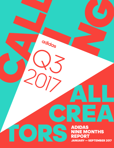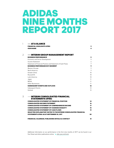# ADIDAS NINE MONTHS REPORT 2017

|   | <b>FINANCIAL HIGHLIGHTS (IFRS)</b><br><b>OUR SHARE</b>      | 3<br>4 |
|---|-------------------------------------------------------------|--------|
|   |                                                             |        |
| 2 | — INTERIM GROUP MANAGEMENT REPORT                           |        |
|   | <b>BUSINESS PERFORMANCE</b>                                 | 5      |
|   | <b>Economic and Sector Development</b>                      | 5      |
|   | Income Statement                                            | 6      |
|   | Statement of Financial Position and Statement of Cash Flows | 7      |
|   | <b>BUSINESS PERFORMANCE BY SEGMENT</b>                      | 9      |
|   | Western Europe                                              | 9      |
|   | North America                                               | 9      |
|   | Greater China                                               | 10     |
|   | Russia/CIS                                                  | 10     |
|   | Latin America                                               | 10     |
|   | Japan                                                       | 11     |
|   | <b>MEAA</b>                                                 | 11     |
|   | Other Businesses                                            | 11     |
|   | <b>SUBSEQUENT EVENTS AND OUTLOOK</b>                        | 12     |
|   | Subsequent Events                                           | 12     |
|   | Outlook                                                     | 12     |

**- INTERIM CONSOLIDATED FINANCIAL** STATEMENTS (IFRS) CONSOLIDATED STATEMENT OF FINANCIAL POSITION 14 CONSOLIDATED INCOME STATEMENT **16** 16 and 20 and 20 and 20 and 20 and 20 and 20 and 20 and 20 and 20 and 20 and 20 and 20 and 20 and 20 and 20 and 20 and 20 and 20 and 20 and 20 and 20 and 20 and 20 and 20 and 20 and 20 an CONSOLIDATED STATEMENT OF COMPREHENSIVE INCOME 17 17 CONSOLIDATED STATEMENT OF CHANGES IN EQUITY 18 CONSOLIDATED STATEMENT OF CASH FLOWS 19 SELECTED EXPLANATORY NOTES TO THE INTERIM CONSOLIDATED FINANCIAL STATEMENTS (IFRS) AS AT SEPTEMBER 30, 2017 20

FINANCIAL CALENDAR, PUBLISHING DETAILS & CONTACT 31

3

1

 $-$  AT A GLANCE

Additional information on our performance in the first nine months of 2017 can be found in our Fact Sheet and other publications online.  $\blacktriangleright$  adidas-group.com/s/results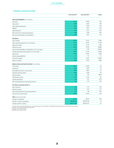### **AT A GLANCE**<br>Financial Highlights (IFRS)

### 01 FINANCIAL HIGHLIGHTS (IFRS)

|                                                                        | Nine months 2017 | Nine months 2016 | Change               |
|------------------------------------------------------------------------|------------------|------------------|----------------------|
| Operating Highlights (€ in millions)                                   |                  |                  |                      |
| Net sales <sup>1</sup>                                                 | 16,162           | 13,983           | 16%                  |
| Gross profit <sup>1</sup>                                              | 8,090            | 6,874            | 18%                  |
| Other operating expenses <sup>1</sup>                                  | 6,323            | 5,620            | 13%                  |
| EBITDA <sup>1</sup>                                                    | 2,238            | 1,813            | 23%                  |
| Operating profit <sup>1</sup>                                          | 1,938            | 1,541            | 26%                  |
| Net income from continuing operations <sup>1</sup>                     | 1,358            | 1,078            | 26%                  |
| Net income attributable to shareholders <sup>2</sup>                   | 1,139            | 1,027            | 11%                  |
| <b>Key Ratios</b>                                                      |                  |                  |                      |
| Gross margin <sup>1</sup>                                              | 50.1%            | 49.2%            | 0.9 <sub>pp</sub>    |
| Other operating expenses in % of net sales <sup>1</sup>                | 39.1%            | 40.2%            | (1.1pp)              |
| Operating margin <sup>1</sup>                                          | 12.0%            | 11.0%            | 1.0 <sub>pp</sub>    |
| Effective tax rate <sup>1</sup>                                        | 28.5%            | 29.3%            | (0.8 <sub>pp</sub> ) |
| Net income attributable to shareholders in % of net sales <sup>2</sup> | 7.0%             | 7.3%             | (0.3 <sub>pp</sub> ) |
| Average operating working capital in % of net sales <sup>1,3</sup>     | 20.3%            | 21.3%            | (1.0 <sub>pp</sub> ) |
| Equity ratio                                                           | 43.5%            | 43.0%            | 0.5 <sub>pp</sub>    |
| Net borrowings/EBITDA <sup>1,4</sup>                                   | 0.1              | 0.4              | n.a.                 |
| Financial leverage                                                     | 5.3%             | 12.6%            | (7.2 <sub>pp</sub> ) |
| Return on equity <sup>2</sup>                                          | 17.6%            | 16.8%            | 0.8 <sub>pp</sub>    |
| Balance Sheet and Cash Flow Data (€ in millions)                       |                  |                  |                      |
| Total assets                                                           | 14,871           | 14,255           | 4%                   |
| Inventories                                                            | 3,441            | 3,203            | 7%                   |
| Receivables and other current assets                                   | 3,892            | 3,844            | $1\%$                |
| Operating working capital                                              | 4,502            | 4,228            | 6%                   |
| Net borrowings                                                         | 345              | 769              | (55%)                |
| Shareholders' equity                                                   | 6,470            | 6,126            | 6%                   |
| Capital expenditure                                                    | 465              | 361              | 29%                  |
| Net cash generated from operating activities <sup>2</sup>              | 742              | 376              | 97%                  |
| Per Share of Common Stock $(\epsilon)$                                 |                  |                  |                      |
| Basic earnings <sup>2</sup>                                            | 5.63             | 5.13             | 10%                  |
| Diluted earnings <sup>2</sup>                                          | 5.58             | 5.01             | 11%                  |
| Net cash generated from operating activities <sup>2</sup>              | 3.67             | 1.88             | 95%                  |
| Share price at end of period                                           | 191.40           | 154.50           | 24%                  |
| <b>Other</b> (at end of period)                                        |                  |                  |                      |
| Number of employees <sup>1</sup>                                       | 55,414           | 55,943           | (1%)                 |
| Number of shares outstanding                                           | 202,838,144      | 200,307,750      | 1%                   |
| Average number of shares                                               | 202,111,204      | 200,207,215      | $1\%$                |
|                                                                        |                  |                  |                      |

1 Figures reflect continuing operations as a result of the divestiture of the Rockport, TaylorMade, Adams Golf, Ashworth and CCM Hockey businesses.<br>2 Includes continuing and discontinued operations.<br>3 Twelve-month trailing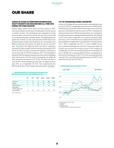# OUR SHARE

### ADIDAS AG SHARE OUTPERFORMS INTERNATIONAL EQUITY MARKETS AND REACHES NEW ALL-TIME HIGH DURING THE THIRD QUARTER

Despite highly volatile trends within the third quarter of 2017, international equity markets were ultimately able to end the period in positive territory. This development was supported by strong economic data in the Eurozone and the US, the rising oil price and the strong second quarter earnings season. The appreciating euro against the US dollar as well as the persistent North Korea crisis pressured equity markets only temporarily. As a consequence, the DAX-30 closed the third quarter 4% above the end of June 2017 level. See Table 02 The adidas AG share was able to outperform international equity markets, driven by strong second quarter 2017 results as well as an uplift in full year 2017 guidance, resulting in a new all-time high of € 199.95 on August 4, 2017. This development was partly offset by negative newsflow around an overall challenging retail environment in the US market. Consequently, the adidas AG share closed the third quarter at € 191.40, 14% above the level of June 30, 2017. Since the beginning of the year, the adidas AG share grew 27%, as at September 30, 2017, thus outperforming the DAX-30, which saw a 12% increase in the same period.  $\blacksquare$  see Table 02

### 02 PERFORMANCE OF THE ADIDAS AG SHARE AND IMPORTANT INDICES AT SEPTEMBER 30, 2017 (IN %)

|                                                          | Q3 | <b>YTD</b> | 1 year | 3 years | 5 years | 10 years |
|----------------------------------------------------------|----|------------|--------|---------|---------|----------|
| adidas AG                                                | 14 | 27         | 24     | 223     | 200     | 316      |
| $DX-30$                                                  | 4  | 12         | 22     | 35      | 78      | 63       |
| <b>EURO STOXX 50</b>                                     | 4  | 9          | 20     | 11      | 46      | (18)     |
| <b>MSCI World</b><br>Textiles, Apparel &<br>Luxury Goods | 5  | 23         | 23     | 25      | 62      | 110      |
|                                                          |    |            |        |         |         |          |

Source: Bloomberg.

### 77% OF CONVERTIBLE BOND CONVERTED

In March 2012, adidas AG successfully issued a convertible bond, due on June 14, 2019, for an aggregate nominal amount of € 500 million. The bonds were priced with a 0.25% annual coupon and a conversion premium of 40% above the reference price of € 59.61, resulting in an initial conversion price of  $\epsilon$  83.46 per share which, as a consequence of contractual provisions relating to dividend protection, was adjusted to € 81.13 per share in May 2017. As a result of conversion rights exercised, a total of 150,382 shares of adidas AG were delivered to the bondholders of adidas AG's convertible bond in the period from July 1, 2017 to September 30, 2017. In total, 4,738,507 shares were transferred following the exercise of conversion rights, all of which were serviced from treasury shares of the company. As at September 30, 2017, the remaining bonds were convertible into up to 1,400,289 new or existing adidas AG shares. Consequently, at the end of the third quarter of 2017, 77% of the convertible bond was converted. The convertible bond closed the quarter at € 235.71, well above the prior year level of € 189.23.

#### 03 SHAPE PRICE DEVELOPMENT IN 2017



**<sup>1</sup>** Index: December 31, 2016 = 100.

— adidas AG — DAX-30

—— DAX-30<br>—— EURO STOXX 50<br>—— MSCI World Textiles, Apparel & Luxury Goods.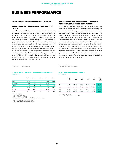# BUSINESS PERFORMANCE

### ECONOMIC AND SECTOR DEVELOPMENT

### GLOBAL ECONOMY GROWS IN THE THIRD QUARTER OF 2017<sup>1</sup>

In the third quarter of 2017, the global economy continued to grow at a moderate rate, reflecting improvements in consumer confidence and global trade as well as a notable pick-up in investment and industrial activity. Nevertheless, weak growth in various countries, the possibility of financial market disruptions as well as ongoing geopolitical tensions and political discord remained major sources of uncertainty and continued to weigh on economic activity. In developed economies, economic activity strengthened throughout the quarter, supported by improvements in consumer confidence and in domestic demand as well as growth in manufacturing and investment activity. Developing economies also grew in the third quarter of 2017, mainly reflecting the recovery in investment and manufacturing activities, firm domestic demand as well as accommodative fiscal and monetary policies.

### MODERATE GROWTH FOR THE GLOBAL SPORTING **GOODS INDUSTRY IN THE THIRD QUARTER<sup>2, 3</sup>**

In the third quarter of 2017, the global sporting goods industry was supported by rising consumer spending in both developing and developed markets, the ongoing athleisure trend as well as higher sports participation and increasing health awareness around the world. In addition, social trends including social fitness remained catalysts, significantly impacting the overall sports industry. The e-commerce channel continued to see rapid expansion, as retailers leveraged a wide variety of commercial opportunities across mobile technologies and social media. At the same time, the industry continued to face uncertainties in several regions. In particular, retailers in the US experienced severe challenges, arising from the ongoing consolidation and weaker store traffic, which resulted in an uptick in promotional activity. Furthermore, new entrants in activewear from several fashion brands led to increased competition in the sporting goods industry globally.

**1** Source: IMF, World Economic Outlook.

### 04 QUARTERLY CONSUMER CONFIDENCE DEVELOPMENT<sup>1</sup> (BY REGION)

|                        | 03 2016 | 04 2016 | 01 2017 | 02 2017 | 03 2017 |
|------------------------|---------|---------|---------|---------|---------|
| USA <sup>2</sup>       | 103.5   | 113.3   | 124.9   | 117.3   | 119.8   |
| Euro area <sup>3</sup> | [8.3]   | (5.2)   | (5.1)   | (1.3)   | (1.2)   |
| Japan <sup>4</sup>     | 42.6    | 42.3    | 44.0    | 43.5    | 43.9    |
| China <sup>5</sup>     | 104.6   | 108.4   | 114.2   | 113.3   | 114.7   |
| Russia <sup>6</sup>    | [19.0]  | (18.0)  | (15.0)  | (14.0)  | (11.0)  |
| Brazil <sup>7</sup>    | 103.1   | 100.3   | 102.0   | 100.5   | 98.5    |
|                        |         |         |         |         |         |

### 05 **EXCHANGE RATE DEVELOPMENT<sup>1</sup>** (€ 1 EQUALS)

|            | Average<br>rate<br>2016 | 04<br>2016 | 01<br>2017 | 02<br>2017 | Q3<br>2017 | Average<br>rate<br>2017 <sup>2</sup> |
|------------|-------------------------|------------|------------|------------|------------|--------------------------------------|
| <b>USD</b> | 1.1069                  | 1.0541     | 1.0691     | 1.1412     | 1.1806     | 1.1097                               |
| GBP        | 0.8188                  | 0.8562     | 0.8555     | 0.8793     | 0.8818     | 0.8716                               |
| <b>JPY</b> | 120.40                  | 123.40     | 119.55     | 127.75     | 132.82     | 124.00                               |
| <b>RUB</b> | 74.278                  | 63.938     | 60.274     | 67.428     | 68.495     | 64.487                               |
| <b>CNY</b> | 7.3515                  | 7.3123     | 7.3760     | 7.8664     | 7.8355     | 7.5538                               |

**1** Quarter-end figures.

**2** Source: Conference Board.

**3** Source: European Commission.

**4** Source: Economic and Social Research Institute, Government of Japan.

**5** Source: China National Bureau of Statistics. **6** Source: Russia Federal Service of State Statistics.

**7** Source: Brazil National Confederation of Industry.

**1** Spot rates at quarter-end.

**2** Source: NPD Market Research. **3** Source: Deutsche Bank Market Research.

**2** Average rate for the first nine months of 2017.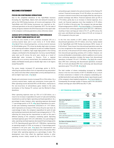### INCOME STATEMENT

### FOCUS ON CONTINUING OPERATIONS

Due to the completed divestiture of the TaylorMade business (including the TaylorMade, Adams Golf and Ashworth brands) as well as the CCM Hockey business, all income and expenses of the TaylorMade and CCM Hockey businesses are reported as discontinued operations at the end of September 2017. For the sake of clarity, all figures related to the 2016 financial year in this report refer to the company's continuing operations unless otherwise stated.

### ADIDAS WITH STRONG FINANCIAL PERFORMANCE IN THE FIRST NINE MONTHS OF 2017

In the first nine months of 2017, revenues increased 16% on a currency-neutral basis and in euro terms to € 16.162 billion. See Table 06 From a brand perspective, currency-neutral revenues for brand adidas grew 17%, driven by double-digit sales increases in the running and outdoor categories as well as at adidas Originals and adidas neo. In addition, high-single-digit growth in the training category contributed to this development. Currency-neutral Reebok sales were up 6% versus the prior year, mainly as a result of double-digit sales increases in Classics. From a regional perspective, on a currency-neutral basis, the combined sales of the adidas and Reebok brands grew at double-digit rates in all regions except Russia/CIS.

The gross margin increased 0.9 percentage points to 50.1%, reflecting the positive effects from an improved pricing and product mix, which more than offset unfavourable currency developments as well as higher input costs.  $\blacksquare$  see Table 06

Royalty and commission income increased 5% to € 86 million. On a currency-neutral basis, royalty and commission income grew 4%. Other operating income declined 59% to € 85 million, mainly due to the non-recurrence of extraordinary gains related to the early termination of the Chelsea FC contract and the Mitchell & Ness divestiture.

Other operating expenses were up 13% to € 6.323 billion, as a result of an increase in expenditure for point-of-sale and marketing investments as well as higher operating overhead expenditure. As a percentage of sales, however, other operating expenses decreased 1.1 percentage points to 39.1%. See Table 06 Expenditure for pointof-sale and marketing investments amounted to € 1.917 billion, which represents an increase of 10% versus the prior year level. As a percentage of sales, the company's expenditure for point-of-sale and marketing investments declined 0.6 percentage points to 11.9%, reflecting the strong top-line improvement as well as this year's different phasing of the company's marketing spend. Operating overhead expenses grew 14% to € 4.406 billion. As a percentage of sales, operating overhead expenses decreased 0.5 percentage points to 27.3%. Operating profit grew 26% to € 1.938 billion, representing an operating margin of 12.0%, an increase of 1.0 percentage points compared to the prior year.  $\blacksquare$  see Table 06 The improvement was driven by the increase in gross margin as well as the positive effect of lower other operating expenses as a percentage of sales. This development more than offset the significant decline in other operating income mainly caused by the non-recurrence of the

extraordinary gain related to the early termination of the Chelsea FC contract. Financial income grew 1% to € 35 million, as a result of an increase in interest income which was largely offset by a decrease in positive exchange rate effects. Financial expenses were up 47% to € 75 million, partly due to an increase in interest expenses. As a result, net financial expenses more than doubled to € 39 million from € 16 million in the prior year. The company's tax rate was down 0.8 percentage points to 28.5%.  $\blacksquare$  see Financial Highlights, p. 3 Consequently, net income from continuing operations grew 26% to € 1.358 billion, resulting in basic earnings per share of € 6.71, up 25% versus the prior year, and diluted earnings per share of € 6.65, an increase of 27% compared to the prior year.

In the first nine months of 2017, adidas incurred losses from discontinued operations of € 217 million, net of tax, mainly related to the TaylorMade and CCM Hockey businesses (2016: losses of € 48 million). These losses from discontinued operations were due to a loss recognised on the measurement to fair value less costs to sell, net of tax, in the amount of € 221 million, partly offset by income from discontinued operating activities of  $\epsilon$  4 million. However, net income attributable to shareholders, which in addition to net income from continuing operations includes the losses from discontinued operations, increased 11% to € 1.139 billion. See Table 06 As a result, basic EPS from continuing and discontinued operations increased 10% to € 5.63 and diluted EPS from continuing and discontinued operations grew 11% to  $\epsilon$  5.58.  $\blacksquare$  see Table 06

The total number of shares outstanding increased by 1,348,834 shares in the first nine months of 2017 to 202,838,144 as a result of share conversions in relation to the company's outstanding convertible bond which were partly offset by shares repurchased as part of the company's share buyback programme. See Financial Highlights, p. 3 Consequently, the average number of shares used in the calculation of basic earnings per share (EPS) was 202,111,204.

#### 06 KEY FINANCIAL HIGHLIGHTS

|                                                                 | <b>Nine</b><br>months<br>2017 | <b>Nine</b><br>months<br>2016 | Change               |
|-----------------------------------------------------------------|-------------------------------|-------------------------------|----------------------|
| <b>Operating Highlights (<math>\epsilon</math> in millions)</b> |                               |                               |                      |
| Net sales <sup>1</sup>                                          | 16,162                        | 13,983                        | 16%                  |
| Operating profit <sup>1</sup>                                   | 1,938                         | 1,541                         | 26%                  |
| Net income from continuing operations <sup>1</sup>              | 1,358                         | 1.078                         | 26%                  |
| Net income attributable to shareholders <sup>2</sup>            | 1,139                         | 1,027                         | 11%                  |
|                                                                 |                               |                               |                      |
| <b>Key Ratios</b>                                               |                               |                               |                      |
| Gross margin <sup>1</sup>                                       | 50.1%                         | 49.2%                         | 0.9 <sub>pp</sub>    |
| Other operating expenses in % of net sales <sup>1</sup>         | 39.1%                         | 40.2%                         | (1.1 <sub>pp</sub> ) |
| Operating margin <sup>1</sup>                                   | 12.0%                         | 11.0%                         | 1.0 <sub>pp</sub>    |
|                                                                 |                               |                               |                      |
| Per Share of Common Stock $(\epsilon)$                          |                               |                               |                      |
| Diluted earnings <sup>2</sup>                                   | 5.58                          | 5.01                          | 11%                  |
|                                                                 |                               |                               |                      |

**1** Figures reflect continuing operations as a result of the divestiture of the Rockport, TaylorMade, Adams Golf, Ashworth and CCM Hockey businesses. **2** Includes continuing and discontinued operations.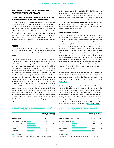### STATEMENT OF FINANCIAL POSITION AND STATEMENT OF CASH FLOWS

### DIVESTITURE OF THE TAYLORMADE AND CCM HOCKEY BUSINESSES IMPACTS BALANCE SHEET ITEMS

At September 30, 2017, all assets and liabilities of the TaylorMade business (including the TaylorMade, Adams Golf and Ashworth brands) are presented as assets and liabilities classified as held for sale. At the end of the first nine months of 2017, assets of € 316 million and liabilities of € 152 million were allocated to the TaylorMade business. However, a restatement of the 2016 balance sheet items is not permitted under IFRS. With the completed divestiture of the CCM Hockey business as of September 1, 2017, all relevant assets and liabilities were derecognised from the consolidated statement of financial position.

### **ASSETS**

At the end of September 2017, total assets were up 4% to € 14.871 billion compared to the prior year, as a result of an increase in current assets which more than offset a decline in non-current assets.

Total current assets increased 9% to € 9.057 billion at the end of September 2017. Cash and cash equivalents were up 6% to € 1.343 billion, as net cash generated from operating activities was only partly offset by net cash used in investing and financing activities. Currency effects had a negative impact on cash and cash equivalents in an amount of € 99 million. Inventories increased 7% to € 3.441 billion. On a currency-neutral basis, inventories grew 11%. Inventories from continuing operations increased 13% (+16% currency-neutral), reflecting higher stock levels to support the company's top-line momentum. The company's accounts receivable increased 3% to € 2.808 billion. On a currency-neutral basis, receivables were up 8%. Receivables from continuing operations increased 12% (+17% currency-neutral), mainly reflecting the company's top-line development in the third quarter of 2017. Other current financial assets decreased 14% to € 414 million. This development was mainly due to a shift of current financial assets to non-current financial assets as well as an increase in the fair value of financial instruments. Other current assets increased 3% to € 562 million, mainly due to an increase in prepaid promotion contracts.

### 07 STRUCTURE OF STATEMENT OF FINANCIAL POSITION<sup>1</sup> (IN % OF TOTAL ASSETS)

|                           | September 30, September 30,<br>2017 | 2016   |
|---------------------------|-------------------------------------|--------|
| Assets (€ in millions)    | 14,871                              | 14,255 |
| Cash and cash equivalents | 9.0                                 | 8.9    |
| Accounts receivable       | 18.9                                | 19.0   |
| Inventories               | 23.1                                | 22.5   |
| Fixed assets              | 32.4                                | 35.4   |
| Other assets              | 16.6                                | 14.3   |

**2017 2016** 2017 2016

**1** For absolute figures see adidas AG Consolidated Statement of Financial Position, p. 14.

Total non-current assets decreased 2% to € 5.815 billion at the end of September 2017. Fixed assets declined 4% to € 4.813 billion, mainly as a result of the reclassification of the net book value of fixed assets of the TaylorMade and CCM Hockey businesses to assets classified as held for sale. Currency translation effects of € 170 million also contributed to the decrease in fixed assets. Other non-current financial assets increased 82% to € 160 million. This development was due to a shift of current financial assets to noncurrent financial assets. See Diagram 07

### LIABILITIES AND EQUITY

Total current liabilities increased 5% to € 6.552 billion at the end of September 2017. Accounts payable increased 3% to € 1.747 billion. On a currency-neutral basis, accounts payable grew 5%. Accounts payable from continuing operations increased 8% (+10% currencyneutral), reflecting higher inventories compared to the prior year. Short-term borrowings decreased 33% to € 711 million at the end of September 2017, reflecting conversions of the company's convertible bond into adidas AG shares. Other current financial liabilities grew 74% to € 345 million, mainly as a result of an increase in the fair value of financial instruments. Other current provisions were up 12% to € 593 million, partly due to an increase in provisions for customs risks. Current accrued liabilities grew 5% to € 2.030 billion, mainly as a result of an increase in invoices not yet received as well as higher accruals for customer discounts. Other current liabilities were up 15% to € 445 million, primarily due to an increase in miscellaneous taxes payable.

Total non-current liabilities decreased 1% to € 1.865 billion at the end of September 2017. Long-term borrowings as well as pensions and similar obligations remained virtually unchanged compared to the prior year at € 983 million and € 333 million, respectively. see Diagram 08

Shareholders' equity increased 6% to  $\epsilon$  6.470 billion at the end of September 2017. The net income generated during the last twelve months and the reissuance of treasury shares in an amount of € 393 million were partly offset by the dividend of € 405 million paid to shareholders for the 2016 financial year, the repurchase of treasury shares in an amount of € 314 million, including incidental purchasing costs, as well as negative currency effects of € 291 million. The company's equity ratio increased 0.5 percentage points to 43.5% compared to the prior year. See Financial Highlights, p. 3

### **08 STRUCTURE OF STATEMENT OF FINANCIAL POSITION**<sup>1</sup> (IN % OF TOTAL LIABILITIES AND EQUITY)

|                                                 | 2017   | September 30, September 30,<br>2016 |
|-------------------------------------------------|--------|-------------------------------------|
| Liabilities and equity $(\epsilon$ in millions) | 14,871 | 14,255                              |
| Short-term borrowings                           | 4.8    | 7.4                                 |
| Accounts payable                                | 11.7   | 11.8                                |
| Long-term borrowings                            | 6.6    | 6.9                                 |
| Other liabilities                               | 33.5   | 31.0                                |
| Total equity                                    | 43.4   | 42.9                                |

**1** For absolute figures see adidas AG Consolidated Statement of Financial Position, p. 14.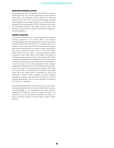### OPERATING WORKING CAPITAL

Operating working capital increased 6% to € 4.502 billion at the end of September 2017. On a currency-neutral basis, operating working capital grew 11%. Operating working capital from continuing operations rose 14% (+19% currency-neutral). Average operating working capital as a percentage of sales from continuing operations decreased 1.0 percentage points to 20.3%, reflecting the strong topline development during the last twelve months as well as the company's continued focus on tight working capital management. see Financial Highlights, p. 3

### LIQUIDITY ANALYSIS

In the first nine months of 2017, net cash generated from operating activities increased to € 742 million (2016: € 376 million). **If** see Financial Highlights, p. 3 Net cash generated from continuing operating activities rose to € 760 million (2016: € 419 million), driven by an increase in income before taxes and lower operating working capital requirements, partly offset by an increase in income taxes paid. Net cash used in investing activities rose to € 533 million (2016: € 332 million). Net cash used in continuing investing activities increased to € 529 million (2016: € 326 million). The majority of continuing investing activities in the first nine months of 2017 related to spending for property, plant and equipment, such as investments in the furnishing and fitting of our own-retail stores and investments in IT systems as well as the further development of the company's headquarters in Herzogenaurach. Net cash used in financing activities and net cash used in continuing financing activities both totalled € 277 million (2016: € 116 million and € 120 million, respectively), mainly due to the dividend paid to shareholders as well as the repurchase of treasury shares. Exchange rate effects negatively impacted the company's cash position by € 99 million. As a result of all these developments, cash and cash equivalents increased by € 79 million to € 1.343 billion.

Net borrowings at September 30, 2017 amounted to € 345 million, representing a decrease of € 424 million compared to the prior year. see Financial Highlights, p. 3 This development was mainly related to conversions of convertible bonds into adidas AG shares. The company's ratio of net borrowings over EBITDA amounted to 0.1, which is below the company's mid-term target corridor of below two times.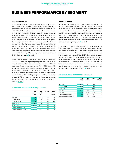# BUSINESS PERFORMANCE BY SEGMENT

### WESTERN EUROPE

Sales in Western Europe increased 12% on a currency-neutral basis. In euro terms, sales grew 10% to € 4.600 billion. Despite difficult prior year comparisons mainly resulting from revenues generated with UEFA EURO 2016 related products, adidas brand revenues grew 10% on a currency-neutral basis, driven by double-digit sales growth in the outdoor category as well as at adidas Originals and adidas neo. In addition, high-single-digit increases in the running category as well as mid-single-digit sales growth in the training category supported this development. Reebok brand revenues increased 26% on a currency-neutral basis, mainly due to double-digit sales growth in the training category and in Classics. In addition, mid-single-digit increases in the running category also contributed to this development. From a country perspective, the main contributors to the increase were the UK, Germany, Poland and Spain where revenues grew at double-digit rates each. See Table 09

Gross margin in Western Europe increased 0.4 percentage points to 44.8%, driven by an improved pricing and channel mix, which more than offset unfavourable currency developments and higher input costs. Operating expenses were up 6% to € 1.066 billion. This development mainly reflects higher sales expenditure as well as an increase in expenditure for point-of-sale investments. As a percentage of sales, operating expenses were down 0.8 percentage points to 23.2%. The operating margin improved 1.2 percentage points to 21.7%, as a result of the gross margin increase as well as the positive effect of lower operating expenses as a percentage of sales. See Table 09

### 09 WESTERN EUROPE AT A GLANCE (£ IN MILLIONS)

|                            | <b>Nine</b><br>months<br>2017 | <b>Nine</b><br>months<br>2016 | Change            | Change<br>(currency-<br>neutral) |
|----------------------------|-------------------------------|-------------------------------|-------------------|----------------------------------|
| Net sales                  | 4,600                         | 4.185                         | 10%               | 12%                              |
| adidas brand               | 4.200                         | 3.865                         | 9%                | 10%                              |
| Reebok brand               | 400                           | 320                           | 25%               | 26%                              |
| Gross profit               | 2,063                         | 1.861                         | 11%               |                                  |
| Gross margin               | 44.8%                         | 44.5%                         | 0.4 <sub>pp</sub> |                                  |
| Segmental operating profit | 997                           | 857                           | 16%               |                                  |
| Segmental operating margin | 21.7%                         | 20.5%                         | 1.2 <sub>pp</sub> |                                  |

### NORTH AMERICA

Sales in North America increased 26% on a currency-neutral basis. In euro terms, sales grew 27% to € 3.100 billion. adidas brand revenues increased 33% on a currency-neutral basis, driven by double-digit sales growth in the running, training and outdoor categories as well as at adidas Originals and adidas neo. Reebok brand revenues decreased 14% on a currency-neutral basis, reflecting the planned closure of own-retail stores in the US. From a category perspective, double-digit growth in Classics was more than offset by sales declines in the training and running categories.  $\blacksquare$  see Table 10

Gross margin in North America increased 1.9 percentage points to 39.8%, driven by an improved product mix, which was partly offset by a less favourable channel mix as well as the negative impact from unfavourable currency developments and higher input costs. Operating expenses were up 15% to € 927 million, reflecting higher expenditure for point-of-sale and marketing investments as well as higher sales expenditure. Operating expenses as a percentage of sales decreased 3.0 percentage points to 29.9%. As a result of the gross margin increase as well as the positive effect of lower operating expenses as a percentage of sales, the operating margin improved 4.6 percentage points to 11.3%. See Table 10

### 10 NORTH AMERICA AT A GLANCE (€ IN MILLIONS)

| <b>Nine</b><br>months<br>2017 | <b>Nine</b><br>months<br>2016 | Change            | Change<br>(currency-<br>neutrall |
|-------------------------------|-------------------------------|-------------------|----------------------------------|
| 3,100                         | 2.443                         | 27%               | 26%                              |
| 2,789                         | 2,082                         | 34%               | 33%                              |
| 312                           | 361                           | [14%]             | [14%]                            |
| 1,233                         | 926                           | 33%               |                                  |
| 39.8%                         | 37.9%                         | 1.9 <sub>pp</sub> |                                  |
| 352                           | 165                           | 113%              |                                  |
| 11.3%                         | 6.8%                          | 4.6 <sub>pp</sub> |                                  |
|                               |                               |                   |                                  |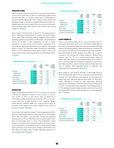Business Performance by Segment

### GREATER CHINA

Sales in Greater China increased 29% on a currency-neutral basis. In euro terms, sales were up 26% to € 2.867 billion. adidas brand revenues grew 29% on a currency-neutral basis. This development was due to double-digit growth in the running, training, outdoor and basketball categories as well as at adidas Originals and adidas neo. Reebok brand revenues increased 16% on a currency-neutral basis, driven by double-digit sales growth in the training and running categories. See Table 11

Gross margin in Greater China increased 0.1 percentage points to 58.1%, reflecting an improved pricing, product and channel mix as well as lower input costs, partly offset by negative currency effects. Operating expenses were up 25% to € 597 million. This development reflects an increase in sales expenditure as well as higher expenditure for point-of-sale and marketing investments. As a percentage of sales, operating expenses decreased 0.3 percentage points to 20.8%. The operating margin increased 0.4 percentage points to 37.2%, reflecting the higher gross margin as well as the positive effect of lower operating expenses as a percentage of sales. see Table 11

### 11 **GDEATED CHINA AT A GLANCE** (£ IN MILLIONS)

|                            | <b>Nine</b><br>months<br>2017 | <b>Nine</b><br>months<br>2016 | Change            | Change<br>(currency-<br>neutral) |
|----------------------------|-------------------------------|-------------------------------|-------------------|----------------------------------|
| Net sales                  | 2,867                         | 2.269                         | 26%               | 29%                              |
| adidas brand               | 2.808                         | 2.218                         | 27%               | 29%                              |
| Reebok brand               | 59                            | 51                            | 16%               | 16%                              |
| Gross profit               | 1.664                         | 1.316                         | 27%               |                                  |
| Gross margin               | 58.1%                         | 58.0%                         | 0.1 <sub>pp</sub> |                                  |
| Segmental operating profit | 1.067                         | 837                           | 28%               |                                  |
| Segmental operating margin | 37.2%                         | 36.9%                         | 0.4 <sub>pp</sub> |                                  |
|                            |                               |                               |                   |                                  |

### RUSSIA/CIS

Sales in Russia/CIS decreased 13% on a currency-neutral basis, reflecting the significant number of store closures in the first nine months of 2017. In euro terms, sales increased 2% to € 514 million. adidas brand revenues were down 16% on a currencyneutral basis, due to sales declines in most categories. Reebok brand revenues remained stable on a currency-neutral basis, as increases in the training and running categories were offset by declines in Classics. See Table 12

Gross margin in Russia/CIS increased 7.3 percentage points to 64.9%, driven by an improved pricing mix as well as positive currency effects, which more than offset a less favourable channel mix. Operating expenses were up 7% to € 228 million and, as a percentage of sales, grew 2.3 percentage points to 44.4%. This development mainly reflects an increase in sales expenditure, which was entirely driven by currency effects. The operating margin increased 5.0 percentage points to 20.5% as a result of the gross margin increase which more than offset the negative effect of higher operating expenses as a percentage of sales. See Table 12

### 12 **RUSSIA/CIS AT A GLANCE (€ IN MILLIONS)**

|                            | Nine<br>months<br>2017 | <b>Nine</b><br>months<br>2016 | Change            | Change<br>(currency-<br>neutral) |
|----------------------------|------------------------|-------------------------------|-------------------|----------------------------------|
| Net sales                  | 514                    | 505                           | 2%                | [13%]                            |
| adidas brand               | 376                    | 386                           | [3%]              | [16%]                            |
| Reebok brand               | 138                    | 119                           | 16%               | [0%]                             |
| Gross profit               | 334                    | 291                           | 15%               |                                  |
| Gross margin               | 64.9%                  | 57.6%                         | 7.3 <sub>pp</sub> |                                  |
| Segmental operating profit | 105                    | 78                            | 35%               |                                  |
| Segmental operating margin | 20.5%                  | 15.5%                         | 5.0 <sub>pp</sub> |                                  |

#### LATIN AMERICA

Sales in Latin America grew 10% on a currency-neutral basis. In euro terms, sales were up 11% to € 1.397 billion. Despite difficult prior year comparisons resulting from revenues generated with Copa América 2016 related products, adidas brand revenues increased 10% on a currency-neutral basis. This development was driven by doubledigit sales growth at adidas Originals and adidas neo, as well as increases in the running and training categories. Reebok brand revenues were up 11% on a currency-neutral basis, driven by double-digit sales growth in the training category and in Classics. From a country perspective, the main contributors to the increase were Mexico and Peru, where revenues grew at double-digit rates each. In addition, high-single-digit growth in Argentina also contributed to this development. See Table 13

Gross margin in Latin America declined 2.4 percentage points to 39.6%, as the positive effects from an improved pricing and channel mix were more than offset by severe negative currency effects and higher input costs. Operating expenses were up 8% to € 390 million, mainly reflecting an increase in sales expenditure. Operating expenses as a percentage of sales were down 0.9 percentage points to 27.9%. The operating margin decreased 1.5 percentage points to 11.7%, reflecting the gross margin decrease which more than offset the positive effect of lower operating expenses as a percentage of sales. See Table 13

### **13 LATIN AMERICA AT A GLANCE (€ IN MILLIONS)**

|                            | <b>Nine</b><br>months<br>2017 | <b>Nine</b><br>months<br>2016 | Change               | Change<br>(currency-<br>neutral) |
|----------------------------|-------------------------------|-------------------------------|----------------------|----------------------------------|
| Net sales                  | 1,397                         | 1.260                         | 11%                  | 10%                              |
| adidas brand               | 1,226                         | 1.105                         | 11%                  | 10%                              |
| Reebok brand               | 171                           | 155                           | 10%                  | 11%                              |
| Gross profit               | 554                           | 529                           | 5%                   |                                  |
| Gross margin               | 39.6%                         | 42.0%                         | (2.4 <sub>pp</sub> ) |                                  |
| Segmental operating profit | 164                           | 167                           | [1%]                 |                                  |
| Segmental operating margin | 11.7%                         | 13.2%                         | (1.5pp)              |                                  |
|                            |                               |                               |                      |                                  |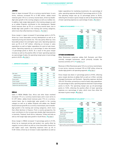### JAPAN

Sales in Japan increased 12% on a currency-neutral basis. In euro terms, revenues increased 9% to € 805 million. adidas brand revenues grew 12% on a currency-neutral basis, driven by doubledigit sales growth in the running category as well as at adidas neo. In addition, high-single-digit growth in the training category as well as at adidas Originals contributed to this development. Reebok brand revenues were up 9% on a currency-neutral basis, due to double-digit sales growth in the training and running categories, which more than offset declines in Classics.  $\blacksquare$  see Table 14

Gross margin in Japan increased 3.3 percentage points to 52.7%, driven by a more favourable currency development as well as an improved pricing and channel mix. This was partly offset by a less favourable product mix and higher input costs. Operating expenses were up 5% to € 227 million, reflecting an increase in sales expenditure as well as higher expenditure for point-of-sale investments. Operating expenses as a percentage of sales decreased 1.3 percentage points to 28.2%. As a result of the gross margin increase as well as the positive effect of lower operating expenses as a percentage of sales, the operating margin grew 4.6 percentage points to 26.0%. See Table 14

### 14 **JAPAN AT A GLANCE (£ IN MILLIONS)**

|                            | <b>Nine</b><br>months<br>2017 | <b>Nine</b><br>months<br>2016 | Change            | Change<br>(currency-<br>neutral) |
|----------------------------|-------------------------------|-------------------------------|-------------------|----------------------------------|
| Net sales                  | 805                           | 736                           | 9%                | 12%                              |
| adidas brand               | 723                           | 660                           | 10%               | 12%                              |
| Reebok brand               | 81                            | 77                            | 6%                | 9%                               |
| Gross profit               | 424                           | 364                           | 17%               |                                  |
| Gross margin               | 52.7%                         | 49.4%                         | 3.3 <sub>pp</sub> |                                  |
| Segmental operating profit | 209                           | 157                           | 33%               |                                  |
| Segmental operating margin | 26.0%                         | 21.4%                         | 4.6 <sub>pp</sub> |                                  |

### MEAA

Sales in MEAA (Middle East, Africa and other Asian markets) increased 11% on a currency-neutral basis and in euro terms to € 2.291 billion. adidas brand revenues grew 11% on a currencyneutral basis, due to double-digit sales growth in the running category as well as at adidas Originals and adidas neo. Reebok brand revenues grew 8% on a currency-neutral basis, due to doubledigit growth in the training and running categories, which more than offset declines in Classics. From a country perspective, the main contributors to the increase were double-digit improvements in Australia, Thailand, South Africa, Indonesia, Turkey and India as well as mid-single-digit sales growth in South Korea. See Table 15

Gross margin in MEAA increased 1.5 percentage points to 51.5%, driven by an improved pricing and product mix, partly offset by negative currency effects as well as a less favourable channel mix and higher input costs. Operating expenses were up 6% to € 481 million, driven by an increase in sales expenditure as well as

higher expenditure for marketing investments. As a percentage of sales, operating expenses declined 0.9 percentage points to 21.0%. The operating margin was up 2.3 percentage points to 30.6%, reflecting the increase in gross margin as well as the positive effect of lower operating expenses as a percentage of sales.  $\blacksquare$  see Table 15

### 15 MEAA AT A GLANCE (€ IN MILLIONS)

|                            | Nine<br>months<br>2017 | <b>Nine</b><br>months<br>2016 | Change            | Change<br>(currency-<br>neutral) |
|----------------------------|------------------------|-------------------------------|-------------------|----------------------------------|
| Net sales                  | 2,291                  | 2.067                         | 11%               | 11%                              |
| adidas brand               | 2,050                  | 1.845                         | 11%               | 11%                              |
| Reebok brand               | 241                    | 222                           | 9%                | 8%                               |
| Gross profit               | 1,181                  | 1.035                         | 14%               |                                  |
| Gross margin               | 51.5%                  | 50.1%                         | 1.5 <sub>pp</sub> |                                  |
| Segmental operating profit | 701                    | 584                           | 20%               |                                  |
| Segmental operating margin | 30.6%                  | 28.3%                         | 2.3 <sub>pp</sub> |                                  |
|                            |                        |                               |                   |                                  |

### OTHER BUSINESSES

Other Businesses comprises adidas Golf, Runtastic and Other centrally managed businesses, which primarily includes the business activities of Y-3.  $\bullet$  see Note 13, p. 29

Revenues in Other Businesses grew 14% on a currency-neutral basis. In euro terms, revenues increased 13% to € 587 million, driven by double-digit growth in all operating segments. See Table 16

Gross margin was down 2.1 percentage points to 39.0%, reflecting gross margin declines at adidas Golf as well as in Other centrally managed businesses and Runtastic. Operating expenses declined 10% to € 156 million, primarily as a result of lower sales expenditure. As a percentage of sales, operating expenses declined 7.0 percentage points to 26.6%. The operating margin was up 4.8 percentage points to 13.0%, reflecting the positive effect of lower operating expenses as a percentage of sales, which more than offset the decrease in gross margin. See Table 16

#### **16 OTHER BUSINESSES AT A GLANCE<sup>1)</sup> (€ IN MILLIONS)**

|                                       | <b>Nine</b><br>months<br>2017 | <b>Nine</b><br>months<br>2016 | Change               | Change<br>(currency-<br>neutrall |
|---------------------------------------|-------------------------------|-------------------------------|----------------------|----------------------------------|
| Net sales                             | 587                           | 519                           | 13%                  | 14%                              |
| adidas Golf                           | 302                           | 277                           | 9%                   | 10%                              |
| Other centrally managed<br>businesses | 264                           | 224                           | 18%                  | 18%                              |
| Gross profit                          | 229                           | 213                           | 7%                   |                                  |
| Gross margin                          | 39.0%                         | 41.1%                         | (2.1 <sub>pp</sub> ) |                                  |
| Segmental operating profit            | 76                            | 42                            | 80%                  |                                  |
| Segmental operating margin            | 13.0%                         | 8.1%                          | 4.8 <sub>pp</sub>    |                                  |
|                                       |                               |                               |                      |                                  |

**1** Figures reflect continuing operations as a result of the divestiture of the Rockport, TaylorMade, Adams Golf, Ashworth and CCM Hockey businesses.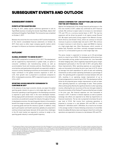# SUBSEQUENT EVENTS AND OUTLOOK

### SUBSEQUENT EVENTS

### EVENTS AFTER QUARTER-END

On May 10, 2017, adidas signed a definitive agreement to sell its TaylorMade business including the brands TaylorMade, Adams Golf and Ashworth (together TaylorMade). The transaction was completed on October 2, 2017.

Between the end of the first nine months of 2017 and the finalisation of the interim consolidated financial statements on October 26, 2017, there were no other major company-specific matters which we expect to influence our business materially going forward.

### **OUTLOOK**<sup>1</sup>

### **GLOBAL ECONOMY TO GROW IN 2017<sup>2, 3</sup>**

Global GDP is projected to increase by 3.6% in 2017. This development will be supported by improvements in global trade, an uptick in consumer confidence and manufacturing activity as well as accommodative fiscal and monetary policies. Nevertheless, policy uncertainties and weak productivity growth are expected to weigh on economic activity. Developing economies are forecasted to remain a major contributor to the global economic expansion in 2017. At 4.6%, their growth rate is projected to accelerate compared to 2016. In developed economies, GDP is expected to grow at a level of 2.2% in 2017.

### SPORTING GOODS INDUSTRY EXPANSION TO CONTINUE IN 2017 4

In the absence of any major economic shocks, we expect the global sporting goods industry to grow at a mid-single-digit rate in 2017. Consumer spending on sporting goods in the developing economies is expected to grow faster than in the more developed markets. Strong wage growth and domestic consumption in many developing economies are predicted to propel the industry throughout the year. In developed economies, the sporting goods industry is forecasted to benefit from wage increases, which will support consumer spending on sporting goods and fuel the industry's growth. In addition, rising sports participation and health awareness globally are projected to continue to boost sportswear demand. At the same time, challenges in the US retail market are expected to continue to weigh on the sporting goods industry's overall growth trajectory.

### ADIDAS CONFIRMS TOP- AND BOTTOM-LINE OUTLOOK FOR THE 2017 FINANCIAL YEAR

Against the background of the strong financial performance in the first nine months of 2017, adidas has confirmed its 2017 financial outlook. We continue to expect sales to increase at a rate between 17% and 19% on a currency-neutral basis in 2017. The top-line expansion will be driven by growth in all regions except Russia/ CIS. We expect particularly strong support from Western Europe, North America and Greater China, where we continue to forecast revenues to grow at a double-digit rate each in 2017. We continue to expect revenues in Latin America, Japan and MEAA to improve at a high-single-digit rate. Other Businesses, which consists of adidas Golf, Runtastic and Other centrally managed businesses such as Y-3, is forecasted to grow at a mid-single-digit rate.

The gross margin is expected to increase up to 0.8 percentage points to a level of up to 50.0%. This development will be driven by a more favourable pricing, product and channel mix. Less favourable US dollar hedging rates, which negatively impacted the gross margin development particularly in the first half of 2017, will partly offset these improvements. Other operating expenses as a percentage of sales are forecasted to be below the prior year level of 42.7%, driven by leverage from both expenditure for point-of-sale and marketing investments as well as lower operating overheads as a percentage of sales. The operating profit is expected to increase between 24% and 26%, resulting in an operating margin improvement of up to 0.6 percentage points to a level of up to 9.2%. This development will be driven by the projected gross margin improvement as well as lower other operating expenses as a percentage of sales. These positive effects will be partly offset by the significant decline in other operating income, reflecting the non-recurrence of the one-time gain related to the early termination of the Chelsea FC sponsorship that was included in the prior year. Net financial expenses are now forecasted to increase in 2017. A decline in interest expenses as well as positive exchange rate effects are expected to be offset by impairments on financial investments. The tax rate is projected to be below the prior year level of 29.6%. Net income from continuing operations is projected to increase at a rate between 26% and 28% to a level between € 1.360 billion and € 1.390 billion. As a result of an increase in the average number of shares following conversions of convertible bonds into adidas AG shares, basic earnings per share from continuing operations are expected to increase at a rate between 25% and 27%.

**2** Source: World Bank, Global Economic Prospects.

**3** Source: IMF, World Economic Outlook.

**4** Source: NPD Market Research.

**<sup>1</sup>** This Management Report contains forward-looking statements that reflect Management's current view with respect to the future development of adidas. The outlook is based on estimates that we have made on the basis of all the information available to us at this point in time. In addition, such forward-looking statements are subject to uncertainties as described in the Risk and Opportunity Report of<br>the adidas 2016 A actual results and developments may materially deviate (negatively or positively) from those expressed by such statements. adidas does not assume any obligation to update any forward-looking statements made in this Management Report beyond statutory disclosure obligations.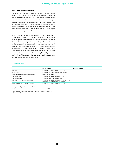### RISKS AND OPPORTUNITIES

Taking into account the occurrence likelihood and the potential financial impact of the risks explained in the 2016 Annual Report, as well as the current business outlook, Management does not foresee any material jeopardy to the viability of the company as a going concern. Management remains confident that the earnings strength forms a solid basis for our future business development and provides the necessary resource to pursue the opportunities available to the company. Compared to the assessment in the 2016 Annual Report, overall the company's risk profile remains unchanged.

At the end of September, an employee of the company's US subsidiary was charged with criminal violations relating to alleged unlawful payments to certain high school basketball players or their families. The company's US subsidiary, with the full support of the company, is cooperating with the prosecutors and actively working to understand the allegations, which includes an internal investigation with the assistance of outside counsel. While Management currently believes that the effects will not have any material influence on the assets, liabilities, financial position and profit or loss of the company, the risks related to this case cannot be assessed conclusively at this point in time.

### 17 2017 OUTLOOK

|                                                        | <b>Current quidance</b>                                                                                               | Previous quidance <sup>1</sup> |
|--------------------------------------------------------|-----------------------------------------------------------------------------------------------------------------------|--------------------------------|
| Net sales $2$                                          | to increase at a rate between 17% and 19%                                                                             |                                |
| Gross margin                                           | to increase up to 0.8pp to a level of up to 50.0%                                                                     |                                |
| Other operating expenses (in % of net sales)           | below prior year level                                                                                                |                                |
| Operating profit                                       | to increase at a rate between 24% and 26%                                                                             |                                |
| Operating margin                                       | to increase up to 0.6pp to a level of up to 9.2%                                                                      |                                |
| Net income from continuing operations                  | to increase at a rate between 26% and 28% to a level<br>between $\epsilon$ 1.360 billion and $\epsilon$ 1.390 billion |                                |
| Basic earnings per share from continuing<br>operations | to increase at a rate between 25% and 27%                                                                             |                                |
| Average operating working capital (in % of net sales)  | modest decline                                                                                                        | modest increase                |
| Capital expenditure <sup>3</sup>                       | up to $\epsilon$ 1.0 billion                                                                                          |                                |

**1** Unless specified, previous guidance remains unchanged (as published on August 3, 2017).

**2** Currency-neutral. **3** Excluding acquisitions and finance leases.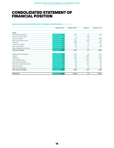### CONSOLIDATED STATEMENT OF FINANCIAL POSITION

### ADIDAS AG CONSOLIDATED STATEMENT OF FINANCIAL POSITION (IFRS) € IN MILLIONS

|                                    | September 30, 2017 | September 30, 2016 | Change in % | December 31, 2016 |
|------------------------------------|--------------------|--------------------|-------------|-------------------|
| Assets                             |                    |                    |             |                   |
| Cash and cash equivalents          | 1,343              | 1,264              | 6.2         | 1,510             |
| Short-term financial assets        | 5                  | 5                  | (3.3)       | 5                 |
| Accounts receivable                | 2,808              | 2.715              | 3.4         | 2,200             |
| Other current financial assets     | 414                | 481                | [13.9]      | 729               |
| Inventories                        | 3,441              | 3,203              | 7.4         | 3,763             |
| Income tax receivables             | 108                | 102                | 6.2         | 98                |
| Other current assets               | 562                | 547                | 2.7         | 580               |
| Assets classified as held for sale | 376                | $\Omega$           | n.a.        | $\overline{a}$    |
| <b>Total current assets</b>        | 9,057              | 8,317              | 8.9         | 8,886             |
|                                    |                    |                    |             |                   |
| Property, plant and equipment      | 1,883              | 1,715              | 9.8         | 1,915             |
| Goodwill                           | 1,228              | 1,376              | (10.7)      | 1,412             |
| Trademarks                         | 1,350              | 1,589              | (15.0)      | 1,680             |
| Other intangible assets            | 132                | 173                | [23.7]      | 167               |
| Long-term financial assets         | 220                | 187                | 17.3        | 194               |
| Other non-current financial assets | 160                | 88                 | 82.2        | 96                |
| Deferred tax assets                | 719                | 695                | 3.5         | 732               |
| Other non-current assets           | 122                | 116                | 5.3         | 94                |
| <b>Total non-current assets</b>    | 5,815              | 5,938              | (2.1)       | 6,290             |
|                                    |                    |                    |             |                   |
| <b>Total assets</b>                | 14,871             | 14,255             | 4.3         | 15,176            |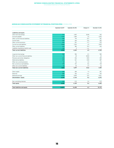### **INTERIM CONSOLIDATED FINANCIAL STATEMENTS (IFRS)**<br>Consolidated Statement of Financial Position

### ADIDAS AG CONSOLIDATED STATEMENT OF FINANCIAL POSITION (IFRS) € IN MILLIONS

|                                         | September 30, 2017 | September 30, 2016 | Change in % | December 31, 2016 |
|-----------------------------------------|--------------------|--------------------|-------------|-------------------|
| <b>Liabilities and equity</b>           |                    |                    |             |                   |
| Short-term borrowings                   | 711                | 1.057              | [32.8]      | 636               |
| Accounts payable                        | 1,747              | 1,689              | 3.4         | 2,496             |
| Other current financial liabilities     | 345                | 199                | 73.7        | 201               |
| Income taxes                            | 529                | 465                | 13.6        | 402               |
| Other current provisions                | 593                | 531                | 11.7        | 573               |
| Current accrued liabilities             | 2,030              | 1.942              | 4.5         | 2.023             |
| Other current liabilities               | 445                | 386                | 15.2        | 434               |
| Liabilities classified as held for sale | 152                | $\Omega$           | n.a.        | $\qquad \qquad -$ |
| <b>Total current liabilities</b>        | 6,552              | 6,269              | 4.5         | 6,765             |
|                                         |                    |                    |             |                   |
| Long-term borrowings                    | 983                | 982                | 0.1         | 982               |
| Other non-current financial liabilities | 19                 | 30                 | (35.5)      | 22                |
| Pensions and similar obligations        | 333                | 334                | (0.5)       | 355               |
| Deferred tax liabilities                | 329                | 341                | (3.5)       | 387               |
| Other non-current provisions            | 46                 | 44                 | 4.2         | 44                |
| Non-current accrued liabilities         | 109                | 101                | 8.4         | 120               |
| Other non-current liabilities           | 46                 | 45                 | 2.7         | 46                |
| <b>Total non-current liabilities</b>    | 1,865              | 1,877              | (0.6)       | 1,957             |
|                                         |                    |                    |             |                   |
| Share capital                           | 203                | 200                | 1.3         | 201               |
| Reserves                                | [28]               | 336                | n.a.        | 749               |
| Retained earnings                       | 6,295              | 5,590              | 12.6        | 5,521             |
| Shareholders' equity                    | 6,470              | 6,126              | 5.6         | 6,472             |
| Non-controlling interests               | (15)               | (17)               | 9.2         | (17)              |
| <b>Total equity</b>                     | 6,454              | 6,109              | 5.6         | 6,455             |
| <b>Total liabilities and equity</b>     | 14,871             | 14,255             | 4.3         | 15,176            |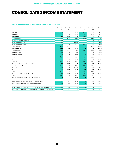# CONSOLIDATED INCOME STATEMENT

### ADIDAS AG CONSOLIDATED INCOME STATEMENT (IFRS) € IN MILLIONS

|                                                                                         | <b>Nine months</b><br>2017 | <b>Nine months</b><br>2016 | Change               | <b>Third quarter</b><br>2017 | Third quarter<br>2016 | Change               |
|-----------------------------------------------------------------------------------------|----------------------------|----------------------------|----------------------|------------------------------|-----------------------|----------------------|
| Net sales                                                                               | 16,162                     | 13,983                     | 15.6%                | 5,677                        | 5,222                 | 8.7%                 |
| Cost of sales                                                                           | 8.071                      | 7.110                      | 13.5%                | 2.814                        | 2.712                 | 3.7%                 |
| Gross profit                                                                            | 8,090                      | 6,874                      | 17.7%                | 2,864                        | 2,510                 | 14.1%                |
| [% of net sales]                                                                        | 50.1%                      | 49.2%                      | 0.9 <sub>pp</sub>    | 50.4%                        | 48.1%                 | 2.4 <sub>pp</sub>    |
| Royalty and commission income                                                           | 86                         | 82                         | 4.6%                 | 29                           | 29                    | [0.7%]               |
| Other operating income                                                                  | 85                         | 206                        | [58.7%]              | 33                           | 16                    | 110.5%               |
| Other operating expenses                                                                | 6,323                      | 5,620                      | 12.5%                | 2.129                        | 1,963                 | 8.5%                 |
| [% of net sales]                                                                        | 39.1%                      | 40.2%                      | (1.1 <sub>pp</sub> ) | 37.5%                        | 37.6%                 | (0.1 <sub>pp</sub> ) |
| <b>Operating profit</b>                                                                 | 1,938                      | 1,541                      | 25.8%                | 795                          | 591                   | 34.6%                |
| [% of net sales]                                                                        | 12.0%                      | 11.0%                      | 1.0 <sub>pp</sub>    | 14.0%                        | 11.3%                 | 2.7 <sub>pp</sub>    |
| Financial income                                                                        | 35                         | 35                         | 1.0%                 | $\overline{7}$               | 6                     | 6.2%                 |
| Financial expenses                                                                      | 75                         | 51                         | 46.7%                | 35                           | 24                    | 45.7%                |
| Income before taxes                                                                     | 1,899                      | 1,525                      | 24.5%                | 767                          | 573                   | 33.9%                |
| [% of net sales]                                                                        | 11.7%                      | 10.9%                      | 0.8 <sub>pp</sub>    | 13.5%                        | 11.0%                 | 2.5 <sub>pp</sub>    |
| Income taxes                                                                            | 541                        | 448                        | 20.9%                | 219                          | 166                   | 31.7%                |
| (% of income before taxes)                                                              | 28.5%                      | 29.3%                      | (0.8 <sub>pp</sub> ) | 28.5%                        | 29.0%                 | (0.5 <sub>pp</sub> ) |
| Net income from continuing operations                                                   | 1,358                      | 1,078                      | 26.0%                | 549                          | 407                   | 34.8%                |
| [% of net sales]                                                                        | 8.4%                       | 7.7%                       | 0.7 <sub>pp</sub>    | 9.7%                         | 7.8%                  | 1.9 <sub>pp</sub>    |
| Losses from discontinued operations, net of tax                                         | 217                        | 48                         | 348.0%               | 22                           | 20                    | 9.7%                 |
| Net income                                                                              | 1,141                      | 1,029                      | 10.8%                | 527                          | 387                   | 36.1%                |
| [% of net sales]                                                                        | 7.1%                       | 7.4%                       | [0.3 <sub>pp</sub> ] | 9.3%                         | 7.4%                  | 1.9 <sub>pp</sub>    |
| Net income attributable to shareholders                                                 | 1,139                      | 1,027                      | 10.8%                | 526                          | 386                   | 36.2%                |
| (% of net sales)                                                                        | 7.0%                       | 7.3%                       | [0.3 <sub>pp</sub> ] | 9.3%                         | 7.4%                  | 1.9 <sub>pp</sub>    |
| Net income attributable to non-controlling interests                                    | $\overline{2}$             | $\overline{2}$             | 8.0%                 | 1                            | 1                     | 0.7%                 |
|                                                                                         |                            |                            |                      |                              |                       |                      |
| Basic earnings per share from continuing operations (in $\epsilon$ )                    | 6.71                       | 5.37                       | 24.8%                | 2.70                         | 2.03                  | 33.2%                |
| Diluted earnings per share from continuing operations (in $\epsilon$ )                  | 6.65                       | 5.25                       | 26.6%                | 2.68                         | 1.98                  | 35.4%                |
| Basic earnings per share from continuing and discontinued operations (in $\epsilon$ )   | 5.63                       | 5.13                       | 9.8%                 | 2.59                         | 1.93                  | 34.5%                |
| Diluted earnings per share from continuing and discontinued operations (in $\epsilon$ ) | 5.58                       | 5.01                       | 11.4%                | 2.57                         | 1.88                  | 36.7%                |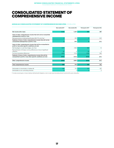### CONSOLIDATED STATEMENT OF COMPREHENSIVE INCOME

### ADIDAS AG CONSOLIDATED STATEMENT OF COMPREHENSIVE INCOME (IFRS) € IN MILLIONS

|                                                                                                                                 | Nine months 2017 | Nine months 2016 | Third quarter 2017 | Third quarter 2016 |
|---------------------------------------------------------------------------------------------------------------------------------|------------------|------------------|--------------------|--------------------|
| Net income after taxes                                                                                                          | 1,141            | 1,029            | 527                | 387                |
| Items of other comprehensive income that will not be reclassified<br>subsequently to profit or loss                             |                  |                  |                    |                    |
| Remeasurements of defined benefit plans (IAS 19), net of tax <sup>1</sup>                                                       | $\overline{2}$   | [39]             | $\theta$           | (41)               |
| Subtotal of items of other comprehensive income that will not be<br>reclassified subsequently to profit or loss                 | $\overline{2}$   | (39)             | $\mathbf{0}$       | (41)               |
| Items of other comprehensive income that will be reclassified to<br>profit or loss when specific conditions are met             |                  |                  |                    |                    |
| Net (loss)/gain on cash flow hedges, net of tax                                                                                 | [337]            | (100)            | [86]               | 13                 |
| Reclassification of foreign currency differences on loss of significant<br>influence                                            | (4)              | 0                | (4)                | 0                  |
| Currency translation differences                                                                                                | [473]            | [116]            | (122)              | [34]               |
| Subtotal of items of other comprehensive income that will be<br>reclassified to profit or loss when specific conditions are met | [813]            | (216)            | (212)              | (21)               |
|                                                                                                                                 |                  |                  |                    |                    |
| Other comprehensive income                                                                                                      | [812]            | (255)            | (212)              | (61)               |
| Total comprehensive income                                                                                                      | 329              | 775              | 315                | 326                |
|                                                                                                                                 |                  |                  |                    |                    |
| Attributable to shareholders of adidas AG                                                                                       | 326              | 772              | 313                | 325                |
| Attributable to non-controlling interests                                                                                       | 3                | 3                | $\overline{2}$     | $\mathbf{0}$       |

**1** Includes actuarial gains or losses relating to defined benefit obligations, return on plan assets (excluding interest income) and the asset ceiling effect.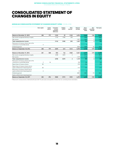### CONSOLIDATED STATEMENT OF CHANGES IN EQUITY

### ADIDAS AG CONSOLIDATED STATEMENT OF CHANGES IN EQUITY (IFRS) € IN MILLIONS

|                                                                             | <b>Share capital</b> | Capital<br>reserve | Cumulative<br>currency<br>translation<br>differences | Hedging<br>reserve | Other<br>reserves <sup>1</sup> | <b>Retained</b><br>earnings | Share-<br>holders'<br>equity | Non-<br>controlling<br>interests | <b>Total equity</b> |
|-----------------------------------------------------------------------------|----------------------|--------------------|------------------------------------------------------|--------------------|--------------------------------|-----------------------------|------------------------------|----------------------------------|---------------------|
| <b>Balance at December 31, 2015</b>                                         | 200                  | 777                | (123)                                                | 59                 | (122)                          | 4,874                       | 5,666                        | (18)                             | 5,648               |
| Net income recognised directly in equity                                    |                      |                    | [116]                                                | (100)              | [39]                           |                             | (255)                        |                                  | (255)               |
| Net income                                                                  |                      |                    |                                                      |                    |                                | 1.027                       | 1.027                        | $\overline{c}$                   | 1.029               |
| Total comprehensive income                                                  |                      |                    | (116)                                                | (100)              | (39)                           | 1,027                       | 772                          | 3                                | 775                 |
| Reissuance of treasury shares due to the<br>conversion of convertible bonds | $\mathbf 0$          |                    |                                                      |                    |                                | 9                           | 9                            |                                  | 9                   |
| Dividend payment                                                            |                      |                    |                                                      |                    |                                | (320)                       | (320)                        | (2)                              | (322)               |
| Balance at September 30, 2016                                               | 200                  | 777                | (239)                                                | (41)               | (161)                          | 5,590                       | 6,126                        | (17)                             | 6,109               |
|                                                                             |                      |                    |                                                      |                    |                                |                             |                              |                                  |                     |
| <b>Balance at December 31, 2016</b>                                         | 201                  | 838                | (52)                                                 | 146                | (182)                          | 5,521                       | 6,472                        | (17)                             | 6,455               |
| Net income recognised directly in equity                                    |                      |                    | [478]                                                | [337]              | $\overline{2}$                 |                             | [813]                        |                                  | (812)               |
| Net income                                                                  |                      |                    |                                                      |                    |                                | 1,139                       | 1,139                        | $\overline{c}$                   | 1,141               |
| Total comprehensive income                                                  |                      |                    | (478)                                                | (337)              | $\mathbf{2}$                   | 1,139                       | 326                          | 3                                | 329                 |
| Reissuance of treasury shares due to the<br>conversion of convertible bonds | $\overline{2}$       | 36                 |                                                      |                    |                                | 108                         | 146                          |                                  | 146                 |
| Repurchase of treasury shares                                               | [0]                  |                    |                                                      |                    |                                | (73)                        | (73)                         |                                  | [73]                |
| Repurchase of treasury shares due to<br>equity-settled share-based payment  | [0]                  |                    |                                                      |                    |                                | (11)                        | (11)                         |                                  | (11)                |
| Reissuance of treasury shares due to<br>equity-settled share-based payment  | 0                    |                    |                                                      |                    |                                | 15                          | 16                           |                                  | 16                  |
| Dividend payment                                                            |                      |                    |                                                      |                    |                                | (405)                       | (405)                        | (1)                              | (406)               |
| Equity-settled share-based payment                                          |                      |                    |                                                      |                    |                                | $\mathbf{0}$                | 0                            |                                  | $\Omega$            |
| Balance at September 30, 2017                                               | 203                  | 874                | (530)                                                | (191)              | (181)                          | 6,295                       | 6,470                        | (15)                             | 6.454               |

**1** Reserves for remeasurements of defined benefit plans (IAS 19), option plans and acquisition of shares from non-controlling interest shareholders.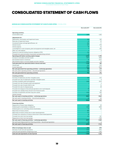# CONSOLIDATED STATEMENT OF CASH FLOWS

### ADIDAS AG CONSOLIDATED STATEMENT OF CASH FLOWS (IFRS) € IN MILLIONS

|                                                                                    | Nine months 2017 | Nine months 2016         |
|------------------------------------------------------------------------------------|------------------|--------------------------|
|                                                                                    |                  |                          |
| <b>Operating activities:</b>                                                       |                  |                          |
| Income before taxes                                                                | 1,899            | 1,525                    |
| <b>Adiustments for:</b>                                                            |                  |                          |
| Depreciation, amortisation and impairment losses                                   | 326              | 262                      |
| Reversals of impairment losses                                                     | (1)              | (1)                      |
| Unrealised foreign exchange (gains)/losses, net                                    | (36)             | 11                       |
| Interest income                                                                    | (21)             | (15)                     |
| Interest expense                                                                   | 53               | 46                       |
| Losses/(gains) on sale of property, plant and equipment and intangible assets, net | 9                | (34)                     |
| Other non-cash expense                                                             | $\boldsymbol{6}$ | 0                        |
| Payment for external funding of pension obligations (CTA)                          | (16)             | $\overline{a}$           |
| Proceeds from early termination of promotion and advertising contracts             | 76               | $\sim$                   |
| Operating profit before working capital changes                                    | 2,296            | 1,795                    |
| Increase in receivables and other assets                                           | (927)            | (920)                    |
| Decrease/lincreasel in inventories                                                 | 45               | (161)                    |
| (Decrease)/increase in accounts payable and other liabilities                      | (227)            | 75                       |
| Cash generated from operations before interest and taxes                           | 1,187            | 789                      |
| Interest paid                                                                      | [46]             | (23)                     |
| Income taxes paid                                                                  | (380)            | (347)                    |
| Net cash generated from operating activities - continuing operations               | 760              | 419                      |
| Net cash used in operating activities - discontinued operations                    | (18)             | (43)                     |
| Net cash generated from operating activities                                       | 742              | 376                      |
| Investing activities:                                                              |                  |                          |
| Purchase of trademarks and other intangible assets                                 | (30)             | (41)                     |
| Proceeds from sale of trademarks and other intangible assets                       |                  | 0                        |
| Purchase of property, plant and equipment                                          | (430)            | (314)                    |
| Proceeds from sale of property, plant and equipment                                | $\overline{2}$   | 4                        |
| Proceeds from sale of assets held for sale                                         | ÷,               | 14                       |
| Proceeds from sale of a disposal group                                             | 6                | 28                       |
| Proceeds from disposal of discontinued operations net of cash disposed             | 55               | $\sim$                   |
| Proceeds from sale/(purchase of) short-term financial assets                       | $\theta$         | [0]                      |
| Purchase of investments and other long-term assets                                 | (153)            | (32)                     |
| Interest received                                                                  | 21               | 15                       |
| Net cash used in investing activities - continuing operations                      | (529)            | (326)                    |
| Net cash used in investing activities - discontinued operations                    | (5)              | (6)                      |
| Net cash used in investing activities                                              | (533)            | (332)                    |
| <b>Financing activities:</b>                                                       |                  |                          |
| Repayments of finance lease obligations                                            | (2)              | (2)                      |
| Dividend paid to shareholders of adidas AG                                         | (405)            | (320)                    |
| Dividend paid to non-controlling interest shareholders                             | (1)              | (2)                      |
| Repurchase of treasury shares                                                      | (85)             | $\sim$                   |
| Repurchase of treasury shares due to share-based payments                          | (11)             | $\qquad \qquad -$        |
| Proceeds from reissuance of treasury shares due to share-based payments            | 10 <sub>1</sub>  | $\overline{\phantom{a}}$ |
| Proceeds from short-term borrowings                                                | 218              | 341                      |
| Repayments of short-term borrowings                                                |                  | (138)                    |
| Net cash used in financing activities - continuing operations                      | (277)            | (120)                    |
| Net cash (used in)/generated from financing activities - discontinued operations   | (0)              | 4                        |
| Net cash used in financing activities                                              | (277)            | (116)                    |
|                                                                                    |                  |                          |
| Effect of exchange rates on cash                                                   | (99)             | (29)                     |
| Decrease of cash and cash equivalents                                              | (167)            | (101)                    |
| Cash and cash equivalents at beginning of year                                     | 1,510            | 1,365                    |
| Cash and cash equivalents at end of period                                         | 1,343            | 1,264                    |
|                                                                                    |                  |                          |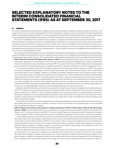### SELECTED EXPLANATORY NOTES TO THE INTERIM CONSOLIDATED FINANCIAL STATEMENTS (IFRS) AS AT SEPTEMBER 30, 2017

### <sup>01</sup> —GENERAL

The interim consolidated financial statements of adidas AG and its direct and indirect subsidiaries (collectively 'adidas', the 'Group' or 'the company') for the first nine months ending September 30, 2017 are prepared in compliance with International Financial Reporting Standards (IFRS), as adopted by the European Union (EU). The company applied all International Financial Reporting Standards issued by the International Accounting Standards Board (IASB) and Interpretations of the IFRS Interpretations Committee effective as at September 30, 2017.

These interim consolidated financial statements were prepared in compliance with International Accounting Standard IAS 34 'Interim Financial Reporting'. Accordingly, these interim consolidated financial statements do not include all of the information and notes required for consolidated financial statements at financial year-ends. Therefore, these interim consolidated financial statements should be read in conjunction with the 2016 annual consolidated financial statements. The accounting policies as well as principles and practices applied in the consolidated financial statements for the year ending December 31, 2016 also apply to the interim consolidated financial statements for the first nine months ending September 30, 2017.

The company has the following updates to the new standards and interpretations and amendments to existing standards and interpretations issued by the IASB and endorsed by the EU which are expected to have an impact on the consolidated financial statements and will be effective for financial years beginning after January 1, 2017, and which have not been applied in preparing these interim consolidated financial statements:

— **IFRS 9 'Financial Instruments' (EU effective date: January 1, 2018):** The new standard prescribes rules for the accounting of financial instruments, replacing the current guidelines in IAS 39 'Financial Instruments: Recognition and Measurement'. adidas has identified all financial instruments that require classification according to IFRS 9. As a result of the changes in IFRS 9 categorisation, the company has determined that most financial assets previously classified as available-for-sale will be classified as at fair value through profit or loss.

The company has decided to adopt IFRS 9 for hedge accounting at the EU effective date. With the application of IFRS 9, the company has decided to designate forward exchange contracts solely by the spot value, with the forward element posted in Other Comprehensive Income (OCI) under the cost of hedging. In addition, the company has decided to designate foreign currency options with their intrinsic value, with resulting changes in time value first recognised as cost of hedging in OCI. The option regarding the treatment of existing hedging relationships during transition to IFRS 9 is still being evaluated. Furthermore, adidas has analysed and determined the future calculation model for the impairment of accounts receivable held by the company, which will affect the accumulated allowance for doubtful accounts on accounts receivable. This calculation model is based on portfolios of accounts receivable bearing similar features, such as the Credit Default Spread (CDS) and Days Sales Outstanding (DSO). Additionally, adidas has identified the need for IT changes including: adding new accounts, e.g. for separating hedge components as well as adding ageing buckets for impairment purposes.

adidas has identified the disclosures relevant to the company which are either new or have been changed due to the implementation of IFRS 9. The company is ensuring that the new disclosures resulting from IFRS 15 will be included in the notes to the interim consolidated financial statements as at March 31, 2018, in particular by defining new IT accounts necessary for capturing additional information. Retrospective restatement in the consolidated financial statements is either not permitted or not required for most disclosures, with the exception of certain disclosures related to hedge accounting. The company does not plan to retrospectively restate information except where required by the standard.

Further effects from IFRS 9 on the 2018 consolidated financial statements will depend to a large extent on both the financial instruments which adidas holds and on the economic conditions at that point in time. Further analysis of the expected impact on the consolidated financial statements of adidas AG is ongoing.

— **IFRS 15 'Revenue from Contracts with Customers' including 'Amendments to IFRS 15: Effective Date of IFRS 15' (EU effective date: January 1, 2018):** This new standard replaces the current guidance on recognising revenue in accordance with IFRS, in particular IAS 18 'Revenue', IAS 11 'Construction Contracts' and IFRIC 13 'Customer Loyalty Programmes' and provides a holistic framework for all aspects of revenue recognition. IFRS 15 creates a centralised, single five-step model for recognising revenue arising from contracts with customers.

In 2015, adidas performed an initial IFRS 15 evaluation on market and brand level in order to identify material topics that needed further examination. After further central analysis, adidas has performed a second, more detailed evaluation with all markets and brands in order to gain further assurance about the effects of IFRS 15 on the company. Thus far, various topics analysed in the second evaluation have not yielded additional material changes for the company. These topics include, for example: customer loyalty programmes, warranties, significant financing components, breakage, changes in the transaction price, IFRS 15 scope and the cost of obtaining a contract. The respective analysis of the remaining responses is close to being finalised.

adidas has determined that the accounting for certain major IFRS 15 topics such as the revenue recognition at the transfer of control and the licensing-out of trademarks is expected to be comparable to the current practice in accordance with IAS 18. It has also been determined that any obligation of adidas to deliver goods to the customer should be included in the same performance obligation as the sale of the goods. In addition, the company will conduct a the calculation of the return provision as of September 30, 2017 according to the IFRS 15 method in order to pre-estimate the effect of the change in the return provision calculation at the time of transition to IFRS 15.

20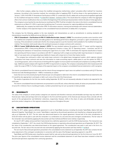Selected Explanatory Notes to the Interim Consolidated Financial Statements (IFRS) as at September 30, 2017

After further analysis, adidas has chosen the modified retrospective method (also called 'cumulative effect method') for transition purposes. According to this transition method, the cumulative effect of applying IFRS 15 will be shown in the opening balance as at January 1, 2018. If the IFRS 15 'Amendment Clarifications to IFRS 15' is endorsed in the EU, adidas will use the practical expedient applicable for the modified retrospective method.  $\bullet$  see below IFRS 15 'Amendment - Clarifications to IFRS 15' This would allow the company to reflect the aggregate effect of all contract modifications that occur before the beginning of the earliest period presented or before the date of initial application. The company is ensuring that the new disclosures resulting from IFRS 15 will be included in the notes to the interim consolidated financial statements as at March 31, 2018, in particular by defining new IT accounts necessary for capturing additional information.

Additionally, the company has held further IFRS 15 information sessions, training and workshops with relevant internal stakeholders. Further analysis of the expected impact on the consolidated financial statements of adidas AG is in progress.

The company has the following updates to the new standards and interpretations as well as amendments to existing standards and interpretations issued by the IASB and not yet effective in the EU:

- **IFRS 15 'Amendment Clarifications to IFRS 15' (IASB effective date: January 1, 2018):** The amendment provides some transition relief for modified and completed contracts and adds guidance for identifying performance obligations, principal vs. agent considerations, and licensing. If the amendment is endorsed in the EU, the company expects to use the transition relief available for the modified retrospective method. The transition relief would reduce the workload necessary to analyse contracts with customers.
- **IFRS 16 'Leases' (IASB effective date: January 1, 2019):** The new standard replaces the guidance in IAS 17 'Leases' and the respective interpretations IFRIC 4 Determining Whether an Arrangement Contains a Lease, SIC-15 'Operating Leases – Incentives' and SIC-27 'Evaluating the Substance of Transactions Involving the Legal Form of a Lease'. IFRS 16 eliminates the required classification of leases into operating and finance leases in accordance with IAS 17, replacing it with a single accounting model requiring lessees to recognise a right-of-use asset and a corresponding lease liability for leases with a lease term of more than twelve months.

The company has continued to collect real estate lease contracts in the global lease management system, which captures relevant information from lease contracts and uses this information to create accounting reports. adidas plans to use this system for IFRS 16 'accounting purposes', and is in the process of working with the supplier to ensure system functionality and compliance according to IFRS 16 logic. Additional system analysis with regard to the IFRS 16 requirements is ongoing. The company is evaluating which other leased assets fall under the scope of IFRS 16. Further analysis of the expected impact on the company's consolidated financial statements is still in progress.

The interim consolidated financial statements and the interim Group management report were not audited in accordance with § 317 German Commercial Code (Handelsgesetzbuch – HGB) or reviewed by an auditor.

Costs that are incurred unevenly during the financial year are anticipated or deferred in the interim consolidated financial statements only if it would be also appropriate to anticipate or defer such costs at the end of the financial year.

The results of operations for the first nine months ending September 30, 2017 are not necessarily indicative of results to be expected for the entire year.

The interim consolidated financial statements are presented in euros (€) and, unless otherwise stated, all values are presented in millions of euros (€ in millions). Due to rounding principles, numbers presented may not sum up exactly to totals provided.

### 02 - SEASONALITY

The sales of the company in certain product categories are seasonal and therefore revenues and attributable earnings may vary within the financial year. Sales and earnings tend to be strongest in the first and third quarters of the financial year because these coincide with the launch of the spring/summer and fall/winter collections, respectively. However, shifts in the share of sales and attributable earnings of particular product categories or the regional composition may occur throughout the year.

### 03 — DISCONTINUED OPERATIONS

On May 10, 2017, adidas signed a definitive agreement to sell its TaylorMade business including the brands TaylorMade, Adams Golf and Ashworth (together TaylorMade). As a result, TaylorMade is reported as discontinued operations and classified as a disposal group held for sale as at September 30, 2017. The fair value was determined based on the signed agreement. Around half of the total consideration of US \$ 425 million will be paid in cash with the remainder in a combination of a secured note and contingent considerations. The fair value of the remainder was estimated by applying the discounted cash flow method and Monte Carlo method, respectively.

On July 27, 2017, adidas announced that it had entered into a definitive agreement to sell the CCM Hockey business. The transaction was completed on September 1, 2017. As a result, the CCM Hockey business is reported as discontinued operations as at September 30, 2017. The fair value of the consideration was determined based on the signed agreement. The consideration was paid in cash and in the form of a secured note. The fair value of the secured note was estimated by applying the discounted cash flow method.  $\bullet$  see Note 04

The net result of discontinued operations presented in the consolidated income statement as at September 30, 2017 also contains the fair value adjustment of the contingent consideration in connection with the sale of the Rockport operating segment in July 2015.

TaylorMade and CCM Hockey were classified as assets held for sale and as discontinued operations for the first time as of June 30, 2017. The prior year figures of the consolidated income statement and the consolidated statement of cash flows have been restated to show the discontinued operations separately from continuing operations.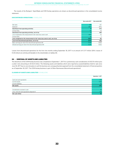The results of the Rockport, TaylorMade and CCM Hockey operations are shown as discontinued operations in the consolidated income statement:

### DISCONTINUED OPERATIONS € IN MILLIONS

|                                                                                 | Nine months 2017 | Nine months 2016 |
|---------------------------------------------------------------------------------|------------------|------------------|
|                                                                                 |                  |                  |
| Net sales                                                                       | 658              | 621              |
| Expenses                                                                        | (651)            | (691)            |
| Gain/(loss) from operating activities                                           |                  | (71)             |
| Income taxes                                                                    | (4)              | 23               |
| Gain/(loss) from operating activities, net of tax                               |                  | (48)             |
| Loss recognised on the measurement to fair value less costs to sell             | (253)            | (1)              |
| Income taxes                                                                    | 33               |                  |
| Loss recognised on the measurement to fair value less costs to sell, net of tax | (221)            | (0)              |
| Loss from discontinued operations, net of tax                                   | (217)            | (48)             |
| Basic earnings per share from discontinued operations $(\epsilon)$              | (1.07)           | [0.24]           |
| Diluted earnings per share from discontinued operations $\left[\epsilon\right]$ | (1.07)           | (0.24)           |

Losses from discontinued operations for the first nine months ending September 30, 2017 in an amount of € 217 million (2016: losses of € 48 million) are entirely attributable to the shareholders of adidas AG.

### <sup>04</sup> — DISPOSAL OF ASSETS AND LIABILITIES

The divestiture of the CCM Hockey business was completed on September 1, 2017 for a preliminary cash consideration of US \$ 76 million plus a seller note amounting to US \$ 40 million. The following assets and liabilities which were reported as assets/liabilities held for sale since June 30, 2017 due to concrete plans to sell the business are consequently derecognised from the consolidated statement of financial position as of September 30, 2017. The CCM Hockey business is part of Other Businesses (discontinued operations).

### CLASSES OF ASSETS AND LIABILITIES € IN MILLIONS

|                                             | September 1, 2017 |
|---------------------------------------------|-------------------|
|                                             |                   |
| Cash and cash equivalents                   | (10)              |
| Current assets                              | (145)             |
| Current liabilities                         | 56                |
| Net assets                                  | (99)              |
|                                             |                   |
| Consideration received in cash              | 65                |
| Less: cash and cash equivalents disposed of | (10)              |
| Net cash inflow                             | 55                |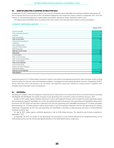Selected Explanatory Notes to the Interim Consolidated Financial Statements (IFRS) as at September 30, 2017

#### <sup>05</sup> —ASSETS/LIABILITIES CLASSIFIED AS HELD FOR SALE

At September 30, 2017, assets/liabilities held for sale comprise the disposal group TaylorMade and a building of Reebok International Ltd. Due to business decisions at the end of 2016, the Reebok headquarters was moved from Canton to Boston in September 2017. From this moment on, the land and building were readily sellable and therefore reported as 'Assets classified as held for sale'.

The disposal group TaylorMade which was stated at fair value consists of the following major classes of assets and liabilities:

### CLASSES OF ASSETS AND LIABILITIES € IN MILLIONS

|                                      | September 30, 2017 |
|--------------------------------------|--------------------|
|                                      |                    |
| Accounts receivable                  | 72                 |
| Other current financial assets       | 9                  |
| Inventories                          | 89                 |
| Other current assets                 | 6                  |
| <b>Total current assets</b>          | 176                |
| Property, plant and equipment        | 29                 |
| <b>Trademarks</b>                    | 41                 |
| Other intangible assets              | 6                  |
| Long-term financial assets           | 14                 |
| Deferred tax assets                  | 49                 |
| <b>Total non-current assets</b>      | 139                |
| <b>Total assets</b>                  | 316                |
| Accounts payable                     | 53                 |
| Other current provisions             | 17                 |
| Other current accrued liabilities    | 42                 |
| Other current liabilities            | 12                 |
| <b>Total current liabilities</b>     | 124                |
| Long-term borrowings                 | $\overline{0}$     |
| Pensions and similar obligations     | 14                 |
| Deferred tax liabilities             | 13                 |
| <b>Total non-current liabilities</b> | 28                 |
| <b>Total liabilities</b>             | 152                |

Impairment losses of € 116 million (before transaction costs) for write-downs of the disposal group held for sale to the lower of their carrying amount and their fair value less costs to sell have been included in 'Losses/gains from discontinued operations, net of tax'. At September 30, 2017, the fair value less costs to sell amounts to € 118 million. The impairment losses have reduced the carrying amount of goodwill, other intangible assets and property, plant and equipment.

### 06 — GOODWILL

Following the company's internal management reporting and the related split of the market North America into North America (excluding USA Reebok) and USA Reebok, the number of groups of cash-generating units increased to a total of 13 effective January 1, 2017.

On May 10, 2017, adidas signed a definitive agreement to sell its golf equipment business which includes the brands TaylorMade, Adams Golf and Ashworth (together TaylorMade). As a result, the goodwill allocated to the group of cash-generating units TaylorMade-adidas Golf in the amount of € 292 million was split and re-allocated to the new cash-generating units TaylorMade amounting to € 113 million and adidas Golf amounting to € 179 million based on relative values (value in use) of the operation disposed of and the cash-generating unit retained, respectively. At September 30, 2017, the cash-generating unit TaylorMade is classified as a disposal group and shown in 'Assets/liabilities classified as held for sale'.

On July 26, 2017, adidas signed a definitive agreement to sell its CCM Hockey business. The divestiture was formally completed on September 1, 2017.

At September 30, 2017, the number of cash-generating units decreased to a total of twelve affected by the completed divestiture of the CCM Hockey business and the contractually agreed divestiture of the TaylorMade business, respectively.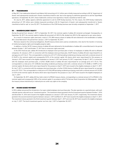### <sup>07</sup> —TRADEMARKS

In May 2017, the trademarks Ashworth and Adams Golf amounting to € 41 million were initially measured according to IAS 36 'Impairment of Assets' and subsequently transferred to 'Assets classified as held for sale' due to the signing of a definitive agreement to sell the TaylorMade operations. At September 30, 2017, these trademarks continue to be reported as 'Assets classified as held for sale'.

On July 26, 2017, adidas signed a definitive agreement to sell its CCM Hockey business. For this reason, the CCM Hockey trademarks amounting to € 109 million were initially measured according to IAS 36 'Impairment of Assets' and subsequently transferred to 'Assets classified as held for sale' at June 30, 2017. The divestiture of the CCM Hockey business was formally completed on September 1, 2017.

### 08 - SHAREHOLDERS' EQUITY

During the period from January 1, 2017 to September 30, 2017, the nominal capital of adidas AG remained unchanged. Consequently, on September 30, 2017, the nominal capital of adidas AG amounted to € 209,216,186, divided into 209,216,186 registered no-par-value shares.

As a result of conversion rights exercised, a total of 1,791,380 treasury shares of adidas AG were delivered to the bondholders of adidas AG's convertible bond in the period from January 1, 2017 to September 30, 2017.

Moreover, based on the contractual obligations, 30,420 treasury shares were used as consideration, inter alia for the transfer or licensing of intellectual property rights and intangible property rights.

In addition, a further 56,701 treasury shares of adidas AG were delivered to the bondholders of adidas AG's convertible bond in the period between October 1, 2017 and October 17, 2017 due to conversion rights exercised.

In the 2016 financial year, adidas AG introduced an employee stock purchase plan in favour of employees of adidas AG and its affiliated companies. On January 6, 2017, in connection with the employee stock purchase plan, 25,699 shares of adidas AG were repurchased for an average price of € 144.41. This corresponded to a total price of € 3,711,236 (excluding incidental purchasing costs) with a notional amount of € 25,699 in the nominal capital and consequently 0.01% of the nominal capital. All shares which were repurchased for this purpose on January 6, 2017 were issued to the eligible employees on January 9, 2017 and January 10, 2017, respectively. On April 7, 2017, in connection with the employee stock purchase plan, a further 20,086 shares of adidas AG were repurchased for an average price of € 176.16. This corresponded to a total price of € 3,538,364 (excluding incidental purchasing costs) with a notional amount of € 20,086 or 0.009% of the nominal capital. All shares which were repurchased for this purpose on April 7, 2017 were issued to the eligible employees on April 11, 2017. On July 7, 2017, in connection with the employee stock purchase plan, a further 22,563 shares of adidas AG were repurchased for an average price of € 175.61. This corresponded to a total price of € 3,962,498 (excluding incidental purchasing costs) with a notional amount of € 22,563 or 0.01% of the nominal capital. All shares which were repurchased for this purpose on July 7, 2017 were issued to the eligible employees on July 11, 2017.

On September 30, 2017, adidas AG thus held a total of 6,378,042 treasury shares, corresponding to a notional amount of € 6,378,042 in the nominal capital and consequently 3.05% of the nominal capital. In accordance with § 71b German Stock Corporation Act (Atkiengesetz – AktG), the treasury shares held directly or indirectly do not confer any rights to the company.

### <sup>09</sup> —SHARE-BASED PAYMENT

In 2016, adidas announced the introduction of an open-ended employee stock purchase plan. The plan operates on a quarterly basis, with each calendar quarter referred to as an 'investment quarter'. The investment shares granted in the first investment quarter between October 1, 2016 and December 31, 2016 were issued to the eligible employees on January 9, 2017 and January 10, 2017, respectively. The investment shares granted in the second investment quarter between January 1, 2017 and March 31, 2017 were issued to the eligible employees on April 11, 2017. The investment shares granted in the third investment quarter between April 1, 2017 and June 30, 2017 were issued to the eligible employees on July 11, 2017. The fourth investment quarter ran from July 1, 2017 to September 30, 2017.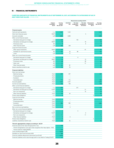### <sup>10</sup> —FINANCIAL INSTRUMENTS

### CARRYING AMOUNTS OF FINANCIAL INSTRUMENTS AS AT SEPTEMBER 30, 2017, ACCORDING TO CATEGORIES OF IAS 39 AND THEIR FAIR VALUES € IN MILLIONS

|                                                                                     |                                           |                                     | <b>Measurement according to IAS 39</b> |                                              |                                                  |                                              |                             |
|-------------------------------------------------------------------------------------|-------------------------------------------|-------------------------------------|----------------------------------------|----------------------------------------------|--------------------------------------------------|----------------------------------------------|-----------------------------|
|                                                                                     | Category<br>according to<br><b>IAS 39</b> | Carrying<br>amount<br>Sep. 30, 2017 | Amortised<br>cost                      | <b>Fair value</b><br>recognised in<br>equity | <b>Fair value</b><br>recognised in<br>net income | Measurement<br>according to<br><b>IAS 17</b> | Fair value<br>Sep. 30, 2017 |
| <b>Financial assets</b>                                                             |                                           |                                     |                                        |                                              |                                                  |                                              |                             |
| Cash and cash equivalents                                                           | n.a.                                      | 1,343                               | 1,343                                  |                                              |                                                  |                                              | 1,343                       |
| Short-term financial assets                                                         | <b>FAHfT</b>                              | 5                                   |                                        |                                              | 5                                                |                                              | -5                          |
| Accounts receivable                                                                 | LaR                                       | 2,808                               | 2,808                                  |                                              |                                                  |                                              | 2,808                       |
| Other current financial assets                                                      |                                           |                                     |                                        |                                              |                                                  |                                              |                             |
| Derivatives being part of a hedge                                                   | n.a.                                      | 120                                 |                                        | 120                                          |                                                  |                                              | 120                         |
| Derivatives not being part of a hedge                                               | FAHfT                                     | 18                                  |                                        |                                              | 18                                               |                                              | 18                          |
| Promissory notes                                                                    | AfS                                       | 8                                   |                                        |                                              | 8                                                |                                              | 8                           |
| Other financial assets                                                              | LaR                                       | 268                                 | 268                                    |                                              |                                                  |                                              | 268                         |
| Long-term financial assets                                                          |                                           |                                     |                                        |                                              |                                                  |                                              |                             |
| Other equity investments                                                            | <b>FAHfT</b>                              | 81                                  |                                        |                                              | 81                                               |                                              | 81                          |
| Available-for-sale financial assets                                                 | AfS                                       | 121                                 | 33                                     | 88                                           |                                                  |                                              | 121                         |
| Loans                                                                               | LaR                                       | 17                                  | 17                                     |                                              |                                                  |                                              | 17                          |
| Other non-current financial assets                                                  |                                           |                                     |                                        |                                              |                                                  |                                              |                             |
| Derivatives being part of a hedge                                                   | n.a.                                      | 8                                   |                                        | 8                                            |                                                  |                                              | $\, 8$                      |
| Derivatives not being part of a hedge                                               | <b>FAHfT</b>                              | 13                                  |                                        |                                              | 13                                               |                                              | 13                          |
| Promissory notes                                                                    | AfS                                       | 28                                  |                                        |                                              | 28                                               |                                              | 28                          |
| Seller note                                                                         | AfS                                       | 31                                  |                                        |                                              | 31                                               |                                              | 31                          |
| Other financial assets                                                              | LaR                                       | 81                                  | 81                                     |                                              |                                                  |                                              | 81                          |
| Assets classified as held for sale                                                  | LaR                                       | 96                                  | 96                                     |                                              |                                                  |                                              | 96                          |
| <b>Financial liabilities</b>                                                        |                                           |                                     |                                        |                                              |                                                  |                                              |                             |
| Short-term borrowings                                                               |                                           |                                     |                                        |                                              |                                                  |                                              |                             |
| Bank borrowings                                                                     | <b>FLAC</b>                               | 597                                 | 597                                    |                                              |                                                  |                                              | 597                         |
| Private placements                                                                  | <b>FLAC</b>                               | $\rightarrow$                       | $\overline{a}$                         |                                              |                                                  |                                              | $\equiv$                    |
| Eurobond                                                                            | <b>FLAC</b>                               |                                     | $\equiv$                               |                                              |                                                  |                                              |                             |
| Convertible bond                                                                    | <b>FLAC</b>                               | 114                                 | 114                                    |                                              |                                                  |                                              | 268                         |
| Accounts payable                                                                    | <b>FLAC</b>                               | 1,747                               | 1,747                                  |                                              |                                                  |                                              | 1,747                       |
| Current accrued liabilities                                                         | <b>FLAC</b>                               | 738                                 | 738                                    |                                              |                                                  |                                              | 738                         |
| Other current financial liabilities                                                 |                                           |                                     |                                        |                                              |                                                  |                                              |                             |
| Derivatives being part of a hedge                                                   | n.a.                                      | 272                                 |                                        | 272                                          |                                                  |                                              | 272                         |
| Derivatives not being part of a hedge                                               | <b>FLHfT</b>                              | 21                                  |                                        |                                              | 21                                               |                                              | 21                          |
| Earn-out components                                                                 | n. a.                                     | 10                                  |                                        |                                              | 10                                               |                                              | 10                          |
| Other financial liabilities                                                         | <b>FLAC</b>                               | 40                                  | 40                                     |                                              |                                                  |                                              | 40                          |
| Finance lease obligations                                                           | n.a.                                      | 3                                   |                                        |                                              |                                                  | 3                                            | 3                           |
| Long-term borrowings                                                                |                                           |                                     |                                        |                                              |                                                  |                                              |                             |
| Bank borrowings                                                                     | <b>FLAC</b>                               |                                     | $\overline{a}$                         |                                              |                                                  |                                              |                             |
| Private placements                                                                  | FLAC                                      |                                     |                                        |                                              |                                                  |                                              |                             |
| Eurobond                                                                            | <b>FLAC</b>                               | 983                                 | 983                                    |                                              |                                                  |                                              | 1,040                       |
| Convertible bond                                                                    | FLAC                                      |                                     |                                        |                                              |                                                  |                                              |                             |
| Non-current accrued liabilities                                                     | <b>FLAC</b>                               | $\mathbf{0}$                        | $\mathbf 0$                            |                                              |                                                  |                                              | $\pmb{0}$                   |
| Other non-current financial liabilities                                             |                                           |                                     |                                        |                                              |                                                  |                                              |                             |
| Derivatives being part of a hedge                                                   | n.a.                                      | 5                                   |                                        | 5                                            |                                                  |                                              | $\overline{5}$              |
| Derivatives not being part of a hedge                                               | FLHfT                                     | $\pmb{0}$                           |                                        |                                              | 0                                                |                                              | $\pmb{0}$                   |
| Earn-out components                                                                 | n.a.                                      | 11                                  |                                        |                                              | 11                                               |                                              | 11                          |
| Other financial liabilities                                                         | <b>FLAC</b>                               | $\mathbf{0}$                        | $\mathbf 0$                            |                                              |                                                  |                                              | $\pmb{0}$                   |
| Finance lease obligations                                                           | n.a.                                      | 3                                   |                                        |                                              |                                                  | 3                                            | 3                           |
| Liabilities classified as held for sale                                             | <b>FLAC</b>                               | 54                                  | 54                                     |                                              |                                                  |                                              | 54                          |
| Thereof: aggregated by category according to IAS 39                                 |                                           |                                     |                                        |                                              |                                                  |                                              |                             |
| Financial assets at fair value through profit or loss                               |                                           | 118                                 |                                        |                                              |                                                  |                                              |                             |
| Thereof: designated as such upon initial recognition (Fair Value Option - FVO)      |                                           |                                     |                                        |                                              |                                                  |                                              |                             |
| Thereof: Held for Trading (FAHfT)                                                   |                                           | 118                                 |                                        |                                              |                                                  |                                              |                             |
| Loans and Receivables (LaR)                                                         |                                           | 3,270                               |                                        |                                              |                                                  |                                              |                             |
| Available-for-Sale Financial Assets (AfS)                                           |                                           | 188                                 |                                        |                                              |                                                  |                                              |                             |
| Financial Liabilities Measured at Amortised Cost (FLAC)                             |                                           | 4,272                               |                                        |                                              |                                                  |                                              |                             |
| Financial Liabilities at fair value through profit or loss Held for Trading (FLHfT) |                                           | 21                                  |                                        |                                              |                                                  |                                              |                             |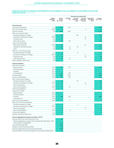Selected Explanatory Notes to the Interim Consolidated Financial Statements (IFRS) as at September 30, 2017

#### CARRYING AMOUNTS OF FINANCIAL INSTRUMENTS AS AT DECEMBER 31, 2016, ACCORDING TO CATEGORIES OF IAS 39 AND THEIR FAIR VALUES € IN MILLIONS

|                                                                                     |                                           |                                     |                          | <b>Measurement according to IAS 39</b> |                                           |                                                     |                                    |
|-------------------------------------------------------------------------------------|-------------------------------------------|-------------------------------------|--------------------------|----------------------------------------|-------------------------------------------|-----------------------------------------------------|------------------------------------|
|                                                                                     | Category<br>according to<br><b>IAS 39</b> | Carrying<br>amount<br>Dec. 31, 2016 | Amortised<br>cost        | Fair value<br>recognised in<br>equity  | Fair value<br>recognised in<br>net income | <b>Measurement</b><br>according to<br><b>IAS 17</b> | <b>Fair value</b><br>Dec. 31, 2016 |
| <b>Financial assets</b>                                                             |                                           |                                     |                          |                                        |                                           |                                                     |                                    |
| Cash and cash equivalents                                                           | n.a.                                      | 1,510                               | 1,510                    |                                        |                                           |                                                     | 1,510                              |
| Short-term financial assets                                                         | FAHfT                                     | 5                                   |                          |                                        | 5                                         |                                                     | 5                                  |
| Accounts receivable                                                                 | LaR                                       | 2,200                               | 2,200                    |                                        |                                           |                                                     | 2,200                              |
| Other current financial assets                                                      |                                           |                                     |                          |                                        |                                           |                                                     |                                    |
| Derivatives being part of a hedge                                                   | n.a.                                      | 325                                 |                          | 325                                    |                                           |                                                     | 325                                |
| Derivatives not being part of a hedge                                               | FAHfT                                     | 44                                  |                          |                                        | 44                                        |                                                     | 44                                 |
| Promissory notes                                                                    | AfS                                       | 15                                  |                          |                                        | 15                                        |                                                     | 15                                 |
| Other financial assets                                                              | LaR                                       | 345                                 | 345                      |                                        |                                           |                                                     | 345                                |
| Long-term financial assets                                                          |                                           |                                     |                          |                                        |                                           |                                                     |                                    |
| Other equity investments                                                            | <b>FAHfT</b>                              | 81                                  |                          |                                        | 81                                        |                                                     | 81                                 |
| Available-for-sale financial assets                                                 | AfS                                       | 102                                 | 64                       | 39                                     |                                           |                                                     | 102                                |
| Loans                                                                               | LaR                                       | 10                                  | 10                       |                                        |                                           |                                                     | 10                                 |
| Other non-current financial assets                                                  |                                           |                                     |                          |                                        |                                           |                                                     |                                    |
| Derivatives being part of a hedge                                                   | n.a.                                      | 15                                  |                          | 15                                     |                                           |                                                     | 15                                 |
| Derivatives not being part of a hedge                                               | <b>FAHfT</b>                              | 17                                  |                          |                                        | 17                                        |                                                     | 17                                 |
| Promissory notes                                                                    | AfS                                       | 30                                  |                          |                                        | 30                                        |                                                     | 30                                 |
| Other financial assets                                                              | LaR                                       | 34                                  | 34                       |                                        |                                           |                                                     | 34                                 |
| Assets classified as held for sale                                                  | LaR                                       |                                     | $\overline{\phantom{a}}$ |                                        |                                           |                                                     |                                    |
| <b>Financial liabilities</b>                                                        |                                           |                                     |                          |                                        |                                           |                                                     |                                    |
| Short-term borrowings                                                               |                                           |                                     |                          |                                        |                                           |                                                     |                                    |
| Bank borrowings                                                                     | <b>FLAC</b>                               | 379                                 | 379                      |                                        |                                           |                                                     | 379                                |
| Private placements                                                                  | <b>FLAC</b>                               | $\rightarrow$                       |                          |                                        |                                           |                                                     |                                    |
| Eurobond                                                                            | <b>FLAC</b>                               |                                     | $\overline{\phantom{a}}$ |                                        |                                           |                                                     |                                    |
| Convertible bond                                                                    | <b>FLAC</b>                               | 257                                 | 257                      |                                        |                                           |                                                     | 476                                |
| Accounts payable                                                                    | <b>FLAC</b>                               | 2,496                               | 2,496                    |                                        |                                           |                                                     | 2,496                              |
| Current accrued liabilities                                                         | <b>FLAC</b>                               | 704                                 | 704                      |                                        |                                           |                                                     | 704                                |
| Other current financial liabilities                                                 |                                           |                                     |                          |                                        |                                           |                                                     |                                    |
| Derivatives being part of a hedge                                                   | n.a.                                      | 87                                  |                          | 87                                     |                                           |                                                     | 87                                 |
| Derivatives not being part of a hedge                                               | <b>FLHfT</b>                              | 24                                  |                          |                                        | 24                                        |                                                     | 24                                 |
| Earn-out components                                                                 | n. a.                                     | 7                                   |                          |                                        | 7                                         |                                                     | 7                                  |
| Other financial liabilities                                                         | <b>FLAC</b>                               | 81                                  | 81                       |                                        |                                           |                                                     | 81                                 |
| Finance lease obligations                                                           | n. a.                                     | 3                                   |                          |                                        |                                           | 3                                                   | 3                                  |
| Long-term borrowings                                                                |                                           |                                     |                          |                                        |                                           |                                                     |                                    |
| Bank borrowings                                                                     | <b>FLAC</b>                               |                                     | $\overline{a}$           |                                        |                                           |                                                     |                                    |
| Private placements                                                                  | <b>FLAC</b>                               |                                     | $\overline{a}$           |                                        |                                           |                                                     |                                    |
| Eurobond                                                                            | <b>FLAC</b>                               | 982                                 | 982                      |                                        |                                           |                                                     | 1,048                              |
| Convertible bond                                                                    | FLAC                                      |                                     | $\overline{\phantom{a}}$ |                                        |                                           |                                                     |                                    |
| Non-current accrued liabilities                                                     | <b>FLAC</b>                               | 9                                   | 9                        |                                        |                                           |                                                     | 9                                  |
| Other non-current financial liabilities                                             |                                           |                                     |                          |                                        |                                           |                                                     |                                    |
| Derivatives being part of a hedge                                                   | n.a.                                      | $\overline{c}$                      |                          | $\overline{2}$                         |                                           |                                                     | $\overline{2}$                     |
| Derivatives not being part of a hedge                                               | <b>FLHfT</b>                              | 1                                   |                          |                                        | $\mathbf{1}$                              |                                                     | $\overline{1}$                     |
| Earn-out components                                                                 | n.a.                                      | 15                                  |                          |                                        | 15                                        |                                                     | 15                                 |
| Other financial liabilities                                                         | <b>FLAC</b>                               | $\mathbf{0}$                        | 0                        |                                        |                                           |                                                     | $\pmb{0}$                          |
| Finance lease obligations                                                           | n. a.                                     | 4                                   |                          |                                        |                                           | 4                                                   | 4                                  |
| Liabilities classified as held for sale                                             | FLAC                                      |                                     | $\overline{\phantom{a}}$ |                                        |                                           |                                                     |                                    |
| Thereof: aggregated by category according to IAS 39                                 |                                           |                                     |                          |                                        |                                           |                                                     |                                    |
| Financial assets at fair value through profit or loss                               |                                           | 148                                 |                          |                                        |                                           |                                                     |                                    |
| Thereof: designated as such upon initial recognition (Fair Value Option - FVO)      |                                           |                                     |                          |                                        |                                           |                                                     |                                    |
| Thereof: Held for Trading (FAHfT)                                                   |                                           | 148                                 |                          |                                        |                                           |                                                     |                                    |
| Loans and Receivables (LaR)                                                         |                                           | 2,590                               |                          |                                        |                                           |                                                     |                                    |
| Available-for-Sale Financial Assets (AfS)                                           |                                           | 148                                 |                          |                                        |                                           |                                                     |                                    |
| Financial Liabilities Measured at Amortised Cost (FLAC)                             |                                           | 4,909                               |                          |                                        |                                           |                                                     |                                    |
| Financial Liabilities at fair value through profit or loss Held for Trading (FLHfT) |                                           | 24                                  |                          |                                        |                                           |                                                     |                                    |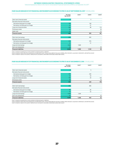### **INTERIM CONSOLIDATED FINANCIAL STATEMENTS (IFRS)**

Selected Explanatory Notes to the Interim Consolidated Financial Statements (IFRS) as at September 30, 2017

### FAIR VALUE HIERARCHY OF FINANCIAL INSTRUMENTS ACCORDING TO IFRS 13 AS AT SEPTEMBER 30, 2017 € IN MILLIONS

|                                       | Fair value<br>Sep. 30, 2017 | Level 1 | Level <sub>2</sub> | Level 3 |
|---------------------------------------|-----------------------------|---------|--------------------|---------|
| Short-term financial assets           | 5                           |         | 5                  |         |
| Derivative financial instruments      |                             |         |                    |         |
| Derivatives being part of a hedge     | 128                         |         | 128                |         |
| Derivatives not being part of a hedge | 31                          |         | 31                 |         |
| Long-term financial assets            | 202                         |         | 88                 | 114     |
| Promissory notes                      | 36                          |         |                    | 36      |
| Seller note                           | 31                          |         |                    | 31      |
| <b>Financial assets</b>               | 433                         |         | 253                | 181     |
|                                       |                             |         |                    |         |
| Short-term borrowings                 | 865                         |         | 865                |         |
| Derivative financial instruments      |                             |         |                    |         |
| Derivatives being part of a hedge     | 276                         |         | 276                |         |
| Derivatives not being part of a hedge | 21                          |         | 21                 |         |
| Long-term borrowings                  | 1,040                       | 1,040   |                    |         |
| Earn-out components                   | 20                          |         |                    | 20      |
| <b>Financial liabilities</b>          | 2,223                       | 1,040   | 1,163              | 20      |

Level 1 is based on quoted prices in active markets for identical assets or liabilities.

Level 2 is based on inputs other than quoted prices included within Level 1 that are observable for the asset or liability, either directly (i.e. as prices) or indirectly (i.e. derived from prices).<br>Level 3 is based on inp

### FAIR VALUE HIERARCHY OF FINANCIAL INSTRUMENTS ACCORDING TO IFRS 13 AS AT DECEMBER 31, 2016 € IN MILLIONS

|                                       | Fair value<br>Dec. 31, 2016 | Level 1 | Level <sub>2</sub> | Level 3 |
|---------------------------------------|-----------------------------|---------|--------------------|---------|
| Short-term financial assets           | 5 <sup>1</sup>              |         | 5                  |         |
| Derivative financial instruments      |                             |         |                    |         |
| Derivatives being part of a hedge     | 339                         |         | 339                |         |
| Derivatives not being part of a hedge | 62                          |         | 62                 |         |
| Long-term financial assets            | 184                         |         | 39                 | 145     |
| Promissory notes                      | 45                          |         |                    | 45      |
| <b>Financial assets</b>               | 636                         |         | 445                | 190     |
|                                       |                             |         |                    |         |
| Short-term borrowings                 | 855                         |         | 855                |         |
| Derivative financial instruments      |                             |         |                    |         |
| Derivatives being part of a hedge     | 89                          |         | 89                 |         |
| Derivatives not being part of a hedge | 24                          |         | 24                 |         |
| Long-term borrowings                  | 1,048                       | 1,048   |                    |         |
| Earn-out components                   | 22                          |         |                    | 22      |
| <b>Financial liabilities</b>          | 2,039                       | 1,048   | 969                | 22      |

Level 1 is based on quoted prices in active markets for identical assets or liabilities.

Level 2 is based on inputs other than quoted prices included within Level 1 that are observable for the asset or liability, either directly (i.e. as prices) or indirectly (i.e. derived from prices).<br>Level 3 is based on inp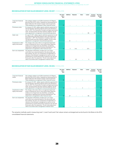**INTERIM CONSOLIDATED FINANCIAL STATEMENTS (IFRS)**<br>Selected Explanatory Notes to the Interim Consolidated Financial Statements (IFRS) as at September 30, 2017

### RECONCILIATION OF FAIR VALUE HIERARCHY LEVEL 3 IN 2017  $\epsilon$  in Millions

|                                            |                                                                                                                                                                                                                                                                                                                                                                                                                              | <b>Fair value</b><br>Jan. 1.<br>2017 | <b>Additions</b> | <b>Disposals</b> | Gains | Losses       | Currencv<br>translation | <b>Fair value</b><br>Sep. 30,<br>2017 |
|--------------------------------------------|------------------------------------------------------------------------------------------------------------------------------------------------------------------------------------------------------------------------------------------------------------------------------------------------------------------------------------------------------------------------------------------------------------------------------|--------------------------------------|------------------|------------------|-------|--------------|-------------------------|---------------------------------------|
| Long-term financial<br>assets              | This category relates to an 8.33% investment in FC Bayern<br>München AG of € 81 million. Dividends are distributed by FC<br>Bayern München AG instead of regular interest payments.<br>These dividends are recognised in other financial income.                                                                                                                                                                             | 81                                   |                  |                  |       |              |                         | 81                                    |
| Promissory notes                           | On January 23, 2015, adidas signed a definitive agreement to<br>sell the Rockport operating segment which was divested on<br>July 31, 2015. The transaction included contingent promissory<br>notes. The discounted cash flow method is applied. The fair<br>value adjustment is recognised in discontinued operations.                                                                                                      | 45                                   |                  |                  |       | [5]          | (5)                     | 36                                    |
| Seller note                                | On July 27, 2017, adidas signed a definitive agreement to sell<br>the CCM Hockey operating segment which was divested on<br>September 1, 2017. The transaction included a seller note.<br>The discounted cash flow method is applied. The fair value<br>adjustment is recognised in discontinued operations.                                                                                                                 |                                      | 31               |                  |       |              |                         | 31                                    |
| Investments in other<br>equity instruments | The change in fair value refers to recognised impairment<br>losses resulting from one or more events where objective<br>evidence of an impairment was identified, considering<br>expectations regarding future business development. The<br>impairment is recognised in other financial result.                                                                                                                              | 64                                   | 3                | [14]             |       | (21)         |                         | 32                                    |
| Earn-out components                        | The aquisition of Runtastic includes earn-out compo-<br>nents which are measured based on the discounted cash<br>flow method. The earn-out components are dependent on<br>retention of the Runtastic management as well as on the<br>achievement of certain performance measures over the first<br>three years after the acquisition. The fair value adjustment<br>refers to accretion and is recognised in interest result. | 22                                   |                  | (2)              |       | <sup>n</sup> |                         | 20                                    |

### RECONCILIATION OF FAIR VALUE HIERARCHY LEVEL 3 IN 2016 € IN MILLIONS

|                                            |                                                                                                                                                                                                                                                                                                                                                                                                                              | <b>Fair value</b><br>Jan. 1,<br>2016 | <b>Additions</b> | <b>Disposals</b> | Gains         | Losses | Currency<br>translation | <b>Fair value</b><br>Dec. 31,<br>2016 |
|--------------------------------------------|------------------------------------------------------------------------------------------------------------------------------------------------------------------------------------------------------------------------------------------------------------------------------------------------------------------------------------------------------------------------------------------------------------------------------|--------------------------------------|------------------|------------------|---------------|--------|-------------------------|---------------------------------------|
| Long-term financial<br>assets              | This category relates to an 8.33% investment in FC Bayern<br>München AG of € 81 million. Dividends are distributed by FC<br>Bayern München AG instead of regular interest payments.<br>These dividends are recognised in other financial income.                                                                                                                                                                             | 81                                   |                  |                  |               |        |                         | 81                                    |
| Promissory notes                           | On January 23, 2015, adidas signed a definitive agreement to<br>sell the Rockport operating segment which was divested on<br>July 31, 2015. The transaction included contingent promissory<br>notes. The discounted cash flow method is applied. The fair<br>value adjustment is recognised in discontinued operations.                                                                                                      | 42                                   |                  |                  | $\mathcal{P}$ |        |                         | 45                                    |
| Investments in other<br>equity instruments | The change in fair value refers to recognised impairment<br>losses resulting from one or more events where objective<br>evidence of an impairment was identified, considering<br>expectations regarding future business development. The<br>impairment is recognised in other financial result.                                                                                                                              | 22                                   | 47               |                  |               | (5)    |                         | 64                                    |
| Earn-out components                        | The aquisition of Runtastic includes earn-out compo-<br>nents which are measured based on the discounted cash<br>flow method. The earn-out components are dependent on<br>retention of the Runtastic management as well as on the<br>achievement of certain performance measures over the first<br>three years after the acquisition. The fair value adjustment<br>refers to accretion and is recognised in interest result. | 21                                   |                  |                  |               |        |                         | 22                                    |

The valuation methods used in measuring Level 1, Level 2 and Level 3 fair values remain unchanged and can be found in the Notes to the 2016 consolidated financial statements.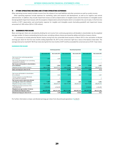### <sup>11</sup> —OTHER OPERATING INCOME AND OTHER OPERATING EXPENSES

Other operating income mainly includes income from the release of accrued liabilities and other provisions as well as sundry income.

Other operating expenses include expenses for marketing, sales and research and development, as well as for logistics and central administration. In addition, they include impairment losses as well as depreciation on tangible assets and amortisation on intangible assets (except goodwill impairment losses), with the exception of depreciation and amortisation which is included in the cost of sales. In the first nine months of 2017, depreciation and amortisation expense for tangible and intangible assets (excluding goodwill) and impairment losses amounted to € 305 million (2016: € 255 million).

### 12 - EARNINGS PER SHARE

Basic earnings per share are calculated by dividing the net income from continuing operations attributable to shareholders by the weighted average number of shares outstanding during the year, excluding ordinary shares purchased by adidas and held as treasury shares.

It is necessary to include potential dilutive shares arising from the convertible bond issuance in March 2012 in the calculation of diluted earnings per share for the first nine months ending September 30, 2017 as the conversion right has a value at the balance sheet date. The average share price reached € 183.57 per share during the first nine months of 2017 and thus exceeded the conversion price of € 81.13 per share.

### EARNINGS PER SHARE

|                                                                         |                  | <b>Continuing operations</b> |                  | <b>Discontinued operations</b> |                  | <b>Total</b>     |
|-------------------------------------------------------------------------|------------------|------------------------------|------------------|--------------------------------|------------------|------------------|
|                                                                         | Nine months 2017 | Nine months 2016             | Nine months 2017 | Nine months 2016               | Nine months 2017 | Nine months 2016 |
| Net income from continuing operations<br>$E$ in millions                | 1,358            | 1.078                        |                  | -                              |                  |                  |
| Net income attributable to non-controlling<br>interests (€ in millions) | 2                | 2                            |                  |                                |                  |                  |
| Net income attributable to shareholders<br>$E$ in millions)             | 1,356            | 1,076                        | (217)            | (48)                           | 1,139            | 1,027            |
| Weighted average number of shares                                       | 202,111,204      | 200.207.215                  | 202.111.204      | 200,207,215                    | 202.111.204      | 200,207,215      |
| Basic earnings per share (in $\epsilon$ )                               | 6.71             | 5.37                         | (1.07)           | (0.24)                         | 5.63             | 5.13             |
|                                                                         |                  |                              |                  |                                |                  |                  |
| Net income attributable to shareholders<br>$E$ in millions)             | 1.356            | 1.076                        | [217]            | (48)                           | 1,139            | 1.027            |
| Interest expense on convertible bond,<br>net of taxes (€ in millions)   |                  | 7                            |                  |                                |                  | 7                |
| Net income used to determine diluted                                    |                  |                              |                  |                                |                  |                  |
| earnings per share (€ in millions)                                      | 1.357            | 1.083                        | (217)            | (48)                           | 1,140            | 1.034            |
| Weighted average number of shares                                       | 202,111,204      | 200,207,215                  | 202,111,728      | 200,207,215                    | 202,111,204      | 200,207,215      |
| Weighted assumed conversion of the                                      |                  |                              |                  |                                |                  |                  |
| convertible bond                                                        | 2,126,524        | 6,104,250                    |                  |                                | 2,126,524        | 6,104,250        |
| Weighted average number of shares<br>for diluted earnings per share     | 204,237,728      | 206,311,466                  | 202,111,204      | 200,207,215                    | 204,237,728      | 206,311,466      |
| Diluted earnings per share (in $\epsilon$ )                             | 6.65             | 5.25                         | (1.07)           | (0.24)                         | 5.58             | 5.01             |

For further information on basic and diluted earnings per share from discontinued operations  $\bullet$  see Note 03.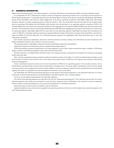Selected Explanatory Notes to the Interim Consolidated Financial Statements (IFRS) as at September 30, 2017

### 13 - SEGMENTAL INFORMATION

adidas operates predominantly in one industry segment – the design, distribution and marketing of athletic and sports lifestyle products.

As at September 30, 2017, following the company's internal management reporting by markets and in accordance with the definition of IFRS 8 'Operating Segments', 15 operating segments were identified: Western Europe, North America (excluding USA Reebok), USA Reebok, Greater China, Russia/CIS, Latin America, Japan, Middle East, South Korea, Southeast Asia/Pacific, TaylorMade, adidas Golf, CCM Hockey, Runtastic and Other centrally managed businesses. Effective January 1, 2017, the market North America was split into two markets: North America (excluding USA Reebok) and USA Reebok. Both markets meet the definition of an operating segment according to IFRS 8. The markets Middle East, South Korea and Southeast Asia/Pacific were aggregated to the segment MEAA ('Middle East, Africa and other Asian markets'). The markets North America (excluding USA Reebok) and USA Reebok were aggregated to the segment North America. Furthermore, the operating segment TaylorMade-adidas Golf has been split into the operating segments TaylorMade and adidas Golf. According to the criteria in IFRS 8 for reportable segments, the business segments Western Europe, North America, Greater China, Russia/CIS, Latin America, Japan and MEAA are reported separately. The remaining operating segments are aggregated under Other Businesses due to their only subordinate materiality.

Each market comprises all wholesale, retail and e-commerce business activities relating to the distribution and sale of products of the adidas and Reebok brands to retail customers and end consumers.

The operating segment TaylorMade comprises the brands TaylorMade, Adams Golf and Ashworth.

adidas Golf comprises the distribution and sale of adidas Golf branded products.

CCM Hockey designs, produces and distributes ice hockey equipment such as sticks, skates and protection gear. In addition, CCM Hockey designs, produces and distributes apparel mainly under the brand name CCM.

Runtastic operates in the digital health and fitness space. The company provides a comprehensive ecosystem for tracking and managing health and fitness data.

Other centrally managed businesses primarily includes the business activities of the labels Y-3 and Porsche Design Sport by adidas as well as the business activities of the brand Five Ten in the outdoor action sports sector. Furthermore, the segment also comprises International Clearance Management.

Certain centralised corporate functions do not meet the definition of IFRS 8 for an operating segment. This includes functions such as Global Brands and Global Sales (central brand and distribution management for the brands adidas and Reebok), central treasury, global sourcing as well as other headquarters functions. Assets, liabilities, income and expenses relating to these corporate functions are presented together with other non-allocable items and intersegment eliminations in the reconciliation.

The TaylorMade and CCM Hockey operating segments are presented as discontinued operations in the segmental reporting. For further information on discontinued operations and assets/liabilities classified as held for sale  $\bullet$  see Note 04 and Note 05.

There are no intersegment sales between the reportable segments.

The results of the operating segments are reported in the line item 'Segmental operating profit'. This is defined as gross profit minus other operating expenses plus royalty and commission income and other operating income attributable to the segment or group of segments, however without considering headquarter costs and central expenditure for marketing investments.

Segmental assets include accounts receivable as well as inventories.

Segmental liabilities only contain accounts payable from operating activities as there are no other liability items reported regularly to the chief operating decision maker.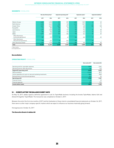### INTERIM CONSOLIDATED FINANCIAL STATEMENTS (IFRS)

Selected Explanatory Notes to the Interim Consolidated Financial Statements (IFRS) as at September 30, 2017

### SEGMENTS € IN MILLIONS

|                                               |        | Net sales (third parties) <sup>1</sup> |       | Segmental operating profit <sup>1</sup> |       | Segmental assets <sup>2</sup> |      | Segmental liabilities <sup>2</sup> |
|-----------------------------------------------|--------|----------------------------------------|-------|-----------------------------------------|-------|-------------------------------|------|------------------------------------|
|                                               | 2017   | 2016                                   | 2017  | 2016                                    | 2017  | 2016                          | 2017 | 2016                               |
| Western Europe                                | 4,600  | 4,185                                  | 997   | 857                                     | 1,852 | 1,587                         | 69   | 65                                 |
| North America                                 | 3,100  | 2,443                                  | 352   | 165                                     | 1,475 | 1,201                         | 61   | 71                                 |
| Greater China                                 | 2,867  | 2,269                                  | 1,067 | 837                                     | 599   | 448                           | 188  | 148                                |
| Russia/CIS                                    | 514    | 505                                    | 105   | 78                                      | 224   | 232                           | b    | 9                                  |
| Latin America                                 | 1,397  | 1,260                                  | 164   | 167                                     | 783   | 746                           | 52   | 80                                 |
| Japan                                         | 805    | 736                                    | 209   | 157                                     | 245   | 253                           | 30   | 34                                 |
| <b>MEAA</b>                                   | 2,291  | 2,067                                  | 701   | 584                                     | 790   | 816                           | 81   | 87                                 |
| Other Businesses<br>(continuing operations)   | 587    | 519                                    | 76    | 42                                      | 284   | 603                           | 19   | 89                                 |
| Other Businesses<br>(discontinued operations) | 658    | 621                                    | 27    | (54)                                    | 302   | Ξ.                            | 67   |                                    |
| Other Businesses (total)                      | .245   | 1,139                                  | 103   | (12)                                    | 586   | 603                           | 86   | 89                                 |
| <b>Total</b>                                  | 16,820 | 14,604                                 | 3,698 | 2,833                                   | 6,554 | 5,885                         | 573  | 584                                |

**1** Nine months.

**2** At September 30.

### Reconciliation

### OPERATING PROFIT € IN MILLIONS

|                                                                 | Nine months 2017 | Nine months 2016 |
|-----------------------------------------------------------------|------------------|------------------|
|                                                                 |                  |                  |
| Operating profit for reportable segments                        | 3,595            | 2.844            |
| Operating profit for Other Businesses                           | 103              | (12)             |
| <b>Segmental operating profit</b>                               | 3,698            | 2,833            |
| HQ/Consolidation                                                | (1, 149)         | [817]            |
| Central expenditure for point-of-sale and marketing investments | (584)            | (528)            |
| Reclassification to discontinued operations                     | [27]             | 54               |
| <b>Operating profit</b>                                         | 1,938            | 1,541            |
| Financial income                                                | 35               | 35               |
| Financial expenses                                              | (75)             | (51)             |
| Income before taxes                                             | 1,899            | 1,525            |

### <sup>14</sup> —EVENTS AFTER THE BALANCE SHEET DATE

On May 10, 2017, adidas signed a definitive agreement to sell its TaylorMade business including the brands TaylorMade, Adams Golf and Ashworth (together TaylorMade). The transaction was completed on October 2, 2017.

Between the end of the first nine months of 2017 and the finalisation of these interim consolidated financial statements on October 26, 2017, there were no other major company-specific matters which we expect to influence our business materially going forward.

Herzogenaurach, October 26, 2017

The Executive Board of adidas AG